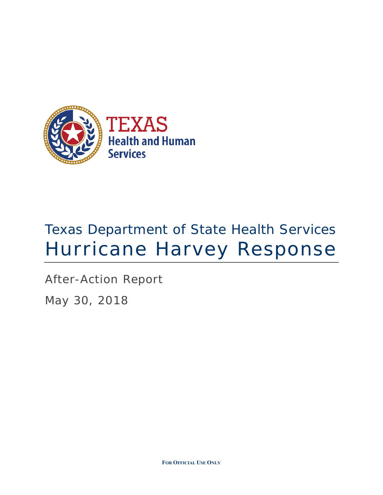

# Texas Department of State Health Services Hurricane Harvey Response

After-Action Report May 30, 2018

**FOR OFFICIAL USE ONLY**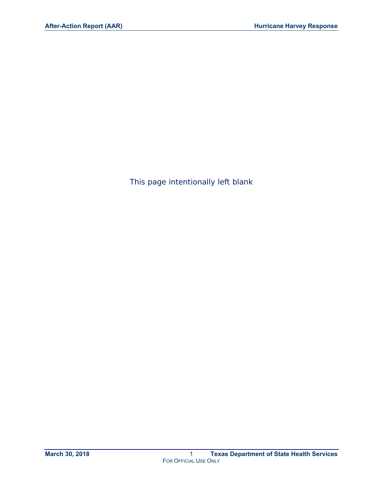This page intentionally left blank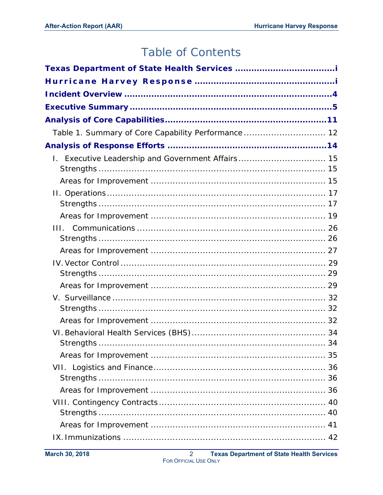## **Table of Contents**

| Table 1. Summary of Core Capability Performance  12 |
|-----------------------------------------------------|
|                                                     |
| I. Executive Leadership and Government Affairs 15   |
|                                                     |
|                                                     |
|                                                     |
|                                                     |
|                                                     |
|                                                     |
|                                                     |
|                                                     |
|                                                     |
|                                                     |
|                                                     |
|                                                     |
|                                                     |
|                                                     |
|                                                     |
|                                                     |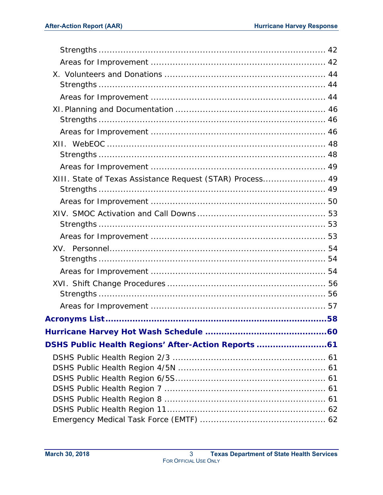| XIII. State of Texas Assistance Request (STAR) Process 49 |  |
|-----------------------------------------------------------|--|
|                                                           |  |
|                                                           |  |
|                                                           |  |
|                                                           |  |
|                                                           |  |
|                                                           |  |
|                                                           |  |
|                                                           |  |
|                                                           |  |
|                                                           |  |
|                                                           |  |
|                                                           |  |
|                                                           |  |
| DSHS Public Health Regions' After-Action Reports 61       |  |
|                                                           |  |
|                                                           |  |
|                                                           |  |
|                                                           |  |
|                                                           |  |
|                                                           |  |
|                                                           |  |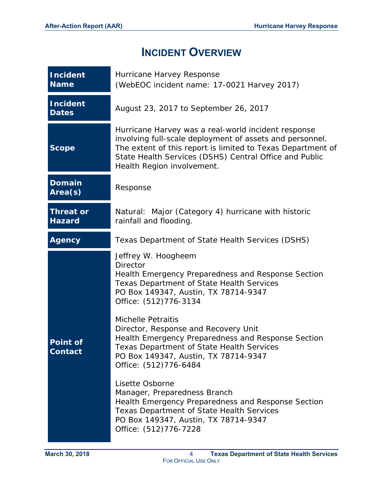## **INCIDENT OVERVIEW**

| <b>Incident</b><br><b>Name</b>    | Hurricane Harvey Response<br>(WebEOC incident name: 17-0021 Harvey 2017)                                                                                                                                                                                               |
|-----------------------------------|------------------------------------------------------------------------------------------------------------------------------------------------------------------------------------------------------------------------------------------------------------------------|
| <b>Incident</b><br><b>Dates</b>   | August 23, 2017 to September 26, 2017                                                                                                                                                                                                                                  |
| <b>Scope</b>                      | Hurricane Harvey was a real-world incident response<br>involving full-scale deployment of assets and personnel.<br>The extent of this report is limited to Texas Department of<br>State Health Services (DSHS) Central Office and Public<br>Health Region involvement. |
| <b>Domain</b><br>Area(s)          | Response                                                                                                                                                                                                                                                               |
| <b>Threat or</b><br><b>Hazard</b> | Natural: Major (Category 4) hurricane with historic<br>rainfall and flooding.                                                                                                                                                                                          |
| <b>Agency</b>                     | Texas Department of State Health Services (DSHS)                                                                                                                                                                                                                       |
|                                   | Jeffrey W. Hoogheem<br><b>Director</b><br>Health Emergency Preparedness and Response Section<br>Texas Department of State Health Services<br>PO Box 149347, Austin, TX 78714-9347<br>Office: (512)776-3134                                                             |
| <b>Point of</b><br><b>Contact</b> | <b>Michelle Petraitis</b><br>Director, Response and Recovery Unit<br>Health Emergency Preparedness and Response Section<br>Texas Department of State Health Services<br>PO Box 149347, Austin, TX 78714-9347<br>Office: (512)776-6484                                  |
|                                   | Lisette Osborne<br>Manager, Preparedness Branch<br>Health Emergency Preparedness and Response Section<br><b>Texas Department of State Health Services</b><br>PO Box 149347, Austin, TX 78714-9347<br>Office: (512)776-7228                                             |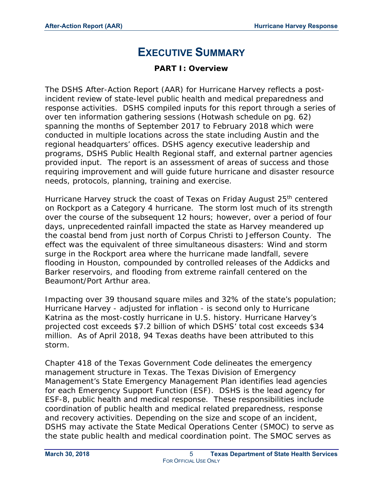## **EXECUTIVE SUMMARY**

#### **PART I: Overview**

The DSHS After-Action Report (AAR) for Hurricane Harvey reflects a postincident review of state-level public health and medical preparedness and response activities. DSHS compiled inputs for this report through a series of over ten information gathering sessions (Hotwash schedule on pg. 62) spanning the months of September 2017 to February 2018 which were conducted in multiple locations across the state including Austin and the regional headquarters' offices. DSHS agency executive leadership and programs, DSHS Public Health Regional staff, and external partner agencies provided input. The report is an assessment of areas of success and those requiring improvement and will guide future hurricane and disaster resource needs, protocols, planning, training and exercise.

Hurricane Harvey struck the coast of Texas on Friday August 25<sup>th</sup> centered on Rockport as a Category 4 hurricane. The storm lost much of its strength over the course of the subsequent 12 hours; however, over a period of four days, unprecedented rainfall impacted the state as Harvey meandered up the coastal bend from just north of Corpus Christi to Jefferson County. The effect was the equivalent of three simultaneous disasters: Wind and storm surge in the Rockport area where the hurricane made landfall, severe flooding in Houston, compounded by controlled releases of the Addicks and Barker reservoirs, and flooding from extreme rainfall centered on the Beaumont/Port Arthur area.

Impacting over 39 thousand square miles and 32% of the state's population; Hurricane Harvey - adjusted for inflation - is second only to Hurricane Katrina as the most-costly hurricane in U.S. history. Hurricane Harvey's projected cost exceeds \$7.2 billion of which DSHS' total cost exceeds \$34 million. As of April 2018, 94 Texas deaths have been attributed to this storm.

Chapter 418 of the Texas Government Code delineates the emergency management structure in Texas. The Texas Division of Emergency Management's State Emergency Management Plan identifies lead agencies for each Emergency Support Function (ESF). DSHS is the lead agency for ESF-8, public health and medical response. These responsibilities include coordination of public health and medical related preparedness, response and recovery activities. Depending on the size and scope of an incident, DSHS may activate the State Medical Operations Center (SMOC) to serve as the state public health and medical coordination point. The SMOC serves as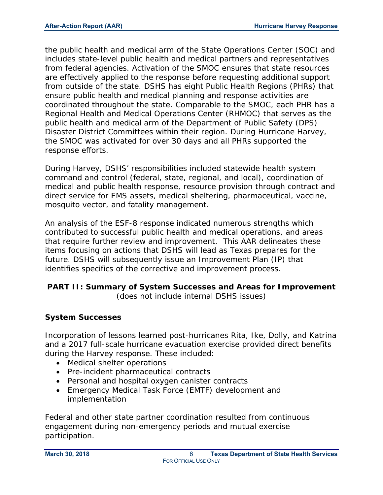the public health and medical arm of the State Operations Center (SOC) and includes state-level public health and medical partners and representatives from federal agencies. Activation of the SMOC ensures that state resources are effectively applied to the response before requesting additional support from outside of the state. DSHS has eight Public Health Regions (PHRs) that ensure public health and medical planning and response activities are coordinated throughout the state. Comparable to the SMOC, each PHR has a Regional Health and Medical Operations Center (RHMOC) that serves as the public health and medical arm of the Department of Public Safety (DPS) Disaster District Committees within their region. During Hurricane Harvey, the SMOC was activated for over 30 days and all PHRs supported the response efforts.

During Harvey, DSHS' responsibilities included statewide health system command and control (federal, state, regional, and local), coordination of medical and public health response, resource provision through contract and direct service for EMS assets, medical sheltering, pharmaceutical, vaccine, mosquito vector, and fatality management.

An analysis of the ESF-8 response indicated numerous strengths which contributed to successful public health and medical operations, and areas that require further review and improvement. This AAR delineates these items focusing on actions that DSHS will lead as Texas prepares for the future. DSHS will subsequently issue an Improvement Plan (IP) that identifies specifics of the corrective and improvement process.

### **PART II: Summary of System Successes and Areas for Improvement**

(*does not include internal DSHS issues*)

#### **System Successes**

Incorporation of lessons learned post-hurricanes Rita, Ike, Dolly, and Katrina and a 2017 full-scale hurricane evacuation exercise provided direct benefits during the Harvey response. These included:

- Medical shelter operations
- Pre-incident pharmaceutical contracts
- Personal and hospital oxygen canister contracts
- Emergency Medical Task Force (EMTF) development and implementation

Federal and other state partner coordination resulted from continuous engagement during non-emergency periods and mutual exercise participation.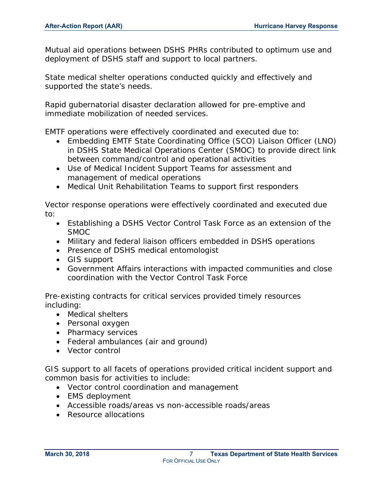Mutual aid operations between DSHS PHRs contributed to optimum use and deployment of DSHS staff and support to local partners.

State medical shelter operations conducted quickly and effectively and supported the state's needs.

Rapid gubernatorial disaster declaration allowed for pre-emptive and immediate mobilization of needed services.

EMTF operations were effectively coordinated and executed due to:

- Embedding EMTF State Coordinating Office (SCO) Liaison Officer (LNO) in DSHS State Medical Operations Center (SMOC) to provide direct link between command/control and operational activities
- Use of Medical Incident Support Teams for assessment and management of medical operations
- Medical Unit Rehabilitation Teams to support first responders

Vector response operations were effectively coordinated and executed due to:

- Establishing a DSHS Vector Control Task Force as an extension of the SMOC
- Military and federal liaison officers embedded in DSHS operations
- Presence of DSHS medical entomologist
- GIS support
- Government Affairs interactions with impacted communities and close coordination with the Vector Control Task Force

Pre-existing contracts for critical services provided timely resources including:

- Medical shelters
- Personal oxygen
- Pharmacy services
- Federal ambulances (air and ground)
- Vector control

GIS support to all facets of operations provided critical incident support and common basis for activities to include:

- Vector control coordination and management
- EMS deployment
- Accessible roads/areas vs non-accessible roads/areas
- Resource allocations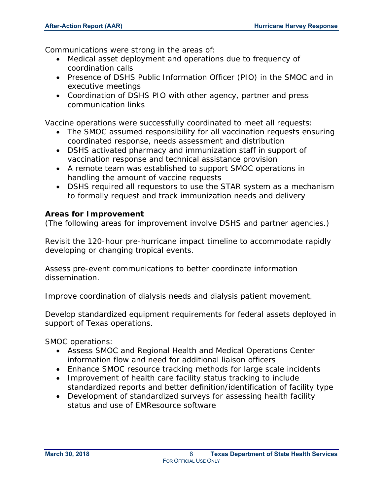Communications were strong in the areas of:

- Medical asset deployment and operations due to frequency of coordination calls
- Presence of DSHS Public Information Officer (PIO) in the SMOC and in executive meetings
- Coordination of DSHS PIO with other agency, partner and press communication links

Vaccine operations were successfully coordinated to meet all requests:

- The SMOC assumed responsibility for all vaccination requests ensuring coordinated response, needs assessment and distribution
- DSHS activated pharmacy and immunization staff in support of vaccination response and technical assistance provision
- A remote team was established to support SMOC operations in handling the amount of vaccine requests
- DSHS required all requestors to use the STAR system as a mechanism to formally request and track immunization needs and delivery

### **Areas for Improvement**

*(The following areas for improvement involve DSHS and partner agencies.)* 

Revisit the 120-hour pre-hurricane impact timeline to accommodate rapidly developing or changing tropical events.

Assess pre-event communications to better coordinate information dissemination.

Improve coordination of dialysis needs and dialysis patient movement.

Develop standardized equipment requirements for federal assets deployed in support of Texas operations.

SMOC operations:

- Assess SMOC and Regional Health and Medical Operations Center information flow and need for additional liaison officers
- Enhance SMOC resource tracking methods for large scale incidents
- Improvement of health care facility status tracking to include standardized reports and better definition/identification of facility type
- Development of standardized surveys for assessing health facility status and use of EMResource software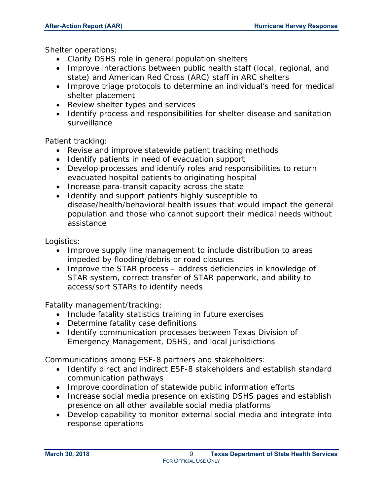Shelter operations:

- Clarify DSHS role in general population shelters
- Improve interactions between public health staff (local, regional, and state) and American Red Cross (ARC) staff in ARC shelters
- Improve triage protocols to determine an individual's need for medical shelter placement
- Review shelter types and services
- Identify process and responsibilities for shelter disease and sanitation surveillance

Patient tracking:

- Revise and improve statewide patient tracking methods
- Identify patients in need of evacuation support
- Develop processes and identify roles and responsibilities to return evacuated hospital patients to originating hospital
- Increase para-transit capacity across the state
- Identify and support patients highly susceptible to disease/health/behavioral health issues that would impact the general population and those who cannot support their medical needs without assistance

Logistics:

- Improve supply line management to include distribution to areas impeded by flooding/debris or road closures
- Improve the STAR process address deficiencies in knowledge of STAR system, correct transfer of STAR paperwork, and ability to access/sort STARs to identify needs

Fatality management/tracking:

- Include fatality statistics training in future exercises
- Determine fatality case definitions
- Identify communication processes between Texas Division of Emergency Management, DSHS, and local jurisdictions

Communications among ESF-8 partners and stakeholders:

- Identify direct and indirect ESF-8 stakeholders and establish standard communication pathways
- Improve coordination of statewide public information efforts
- Increase social media presence on existing DSHS pages and establish presence on all other available social media platforms
- Develop capability to monitor external social media and integrate into response operations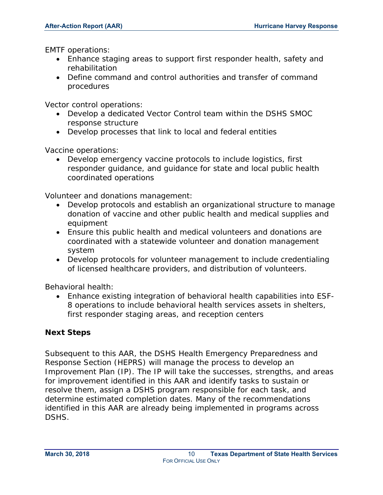EMTF operations:

- Enhance staging areas to support first responder health, safety and rehabilitation
- Define command and control authorities and transfer of command procedures

Vector control operations:

- Develop a dedicated Vector Control team within the DSHS SMOC response structure
- Develop processes that link to local and federal entities

Vaccine operations:

 Develop emergency vaccine protocols to include logistics, first responder guidance, and guidance for state and local public health coordinated operations

Volunteer and donations management:

- Develop protocols and establish an organizational structure to manage donation of vaccine and other public health and medical supplies and equipment
- Ensure this public health and medical volunteers and donations are coordinated with a statewide volunteer and donation management system
- Develop protocols for volunteer management to include credentialing of licensed healthcare providers, and distribution of volunteers.

Behavioral health:

 Enhance existing integration of behavioral health capabilities into ESF-8 operations to include behavioral health services assets in shelters, first responder staging areas, and reception centers

#### **Next Steps**

Subsequent to this AAR, the DSHS Health Emergency Preparedness and Response Section (HEPRS) will manage the process to develop an Improvement Plan (IP). The IP will take the successes, strengths, and areas for improvement identified in this AAR and identify tasks to sustain or resolve them, assign a DSHS program responsible for each task, and determine estimated completion dates. Many of the recommendations identified in this AAR are already being implemented in programs across DSHS.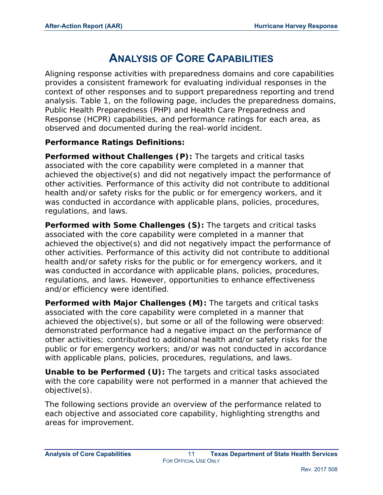## **ANALYSIS OF CORE CAPABILITIES**

Aligning response activities with preparedness domains and core capabilities provides a consistent framework for evaluating individual responses in the context of other responses and to support preparedness reporting and trend analysis. Table 1, on the following page, includes the preparedness domains, Public Health Preparedness (PHP) and Health Care Preparedness and Response (HCPR) capabilities, and performance ratings for each area, as observed and documented during the real-world incident.

#### **Performance Ratings Definitions:**

**Performed without Challenges (P):** The targets and critical tasks associated with the core capability were completed in a manner that achieved the objective(s) and did not negatively impact the performance of other activities. Performance of this activity did not contribute to additional health and/or safety risks for the public or for emergency workers, and it was conducted in accordance with applicable plans, policies, procedures, regulations, and laws.

**Performed with Some Challenges (S):** The targets and critical tasks associated with the core capability were completed in a manner that achieved the objective(s) and did not negatively impact the performance of other activities. Performance of this activity did not contribute to additional health and/or safety risks for the public or for emergency workers, and it was conducted in accordance with applicable plans, policies, procedures, regulations, and laws. However, opportunities to enhance effectiveness and/or efficiency were identified.

**Performed with Major Challenges (M):** The targets and critical tasks associated with the core capability were completed in a manner that achieved the objective(s), but some or all of the following were observed: demonstrated performance had a negative impact on the performance of other activities; contributed to additional health and/or safety risks for the public or for emergency workers; and/or was not conducted in accordance with applicable plans, policies, procedures, regulations, and laws.

**Unable to be Performed (U):** The targets and critical tasks associated with the core capability were not performed in a manner that achieved the objective(s).

The following sections provide an overview of the performance related to each objective and associated core capability, highlighting strengths and areas for improvement.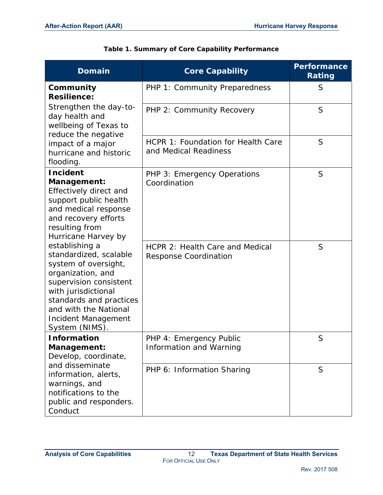| <b>Domain</b>                                                                                                                                                                                                                       | <b>Core Capability</b>                                          | <b>Performance</b><br><b>Rating</b> |
|-------------------------------------------------------------------------------------------------------------------------------------------------------------------------------------------------------------------------------------|-----------------------------------------------------------------|-------------------------------------|
| Community<br><b>Resilience:</b><br>Strengthen the day-to-<br>day health and<br>wellbeing of Texas to<br>reduce the negative<br>impact of a major<br>hurricane and historic<br>flooding.                                             | PHP 1: Community Preparedness                                   | S                                   |
|                                                                                                                                                                                                                                     | PHP 2: Community Recovery                                       | S                                   |
|                                                                                                                                                                                                                                     | HCPR 1: Foundation for Health Care<br>and Medical Readiness     | S                                   |
| <b>Incident</b><br>Management:<br>Effectively direct and<br>support public health<br>and medical response<br>and recovery efforts<br>resulting from<br>Hurricane Harvey by                                                          | PHP 3: Emergency Operations<br>Coordination                     | S                                   |
| establishing a<br>standardized, scalable<br>system of oversight,<br>organization, and<br>supervision consistent<br>with jurisdictional<br>standards and practices<br>and with the National<br>Incident Management<br>System (NIMS). | HCPR 2: Health Care and Medical<br><b>Response Coordination</b> | S                                   |
| <b>Information</b><br>Management:<br>Develop, coordinate,                                                                                                                                                                           | PHP 4: Emergency Public<br>Information and Warning              | S                                   |
| and disseminate<br>information, alerts,<br>warnings, and<br>notifications to the<br>public and responders.<br>Conduct                                                                                                               | PHP 6: Information Sharing                                      | S                                   |

#### **Table 1. Summary of Core Capability Performance**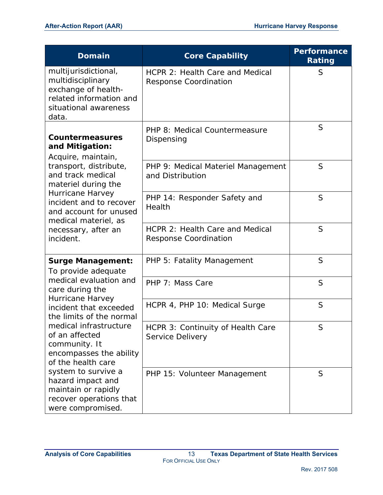| <b>Domain</b>                                                                                                                 | <b>Core Capability</b>                                                 | <b>Performance</b><br><b>Rating</b> |
|-------------------------------------------------------------------------------------------------------------------------------|------------------------------------------------------------------------|-------------------------------------|
| multijurisdictional,<br>multidisciplinary<br>exchange of health-<br>related information and<br>situational awareness<br>data. | HCPR 2: Health Care and Medical<br><b>Response Coordination</b>        | S                                   |
| <b>Countermeasures</b><br>and Mitigation:<br>Acquire, maintain,                                                               | PHP 8: Medical Countermeasure<br>Dispensing                            | S                                   |
| transport, distribute,<br>and track medical<br>materiel during the                                                            | PHP 9: Medical Materiel Management<br>and Distribution                 | S                                   |
| Hurricane Harvey<br>incident and to recover<br>and account for unused<br>medical materiel, as                                 | PHP 14: Responder Safety and<br>Health                                 | S                                   |
| necessary, after an<br>incident.                                                                                              | <b>HCPR 2: Health Care and Medical</b><br><b>Response Coordination</b> | S                                   |
| <b>Surge Management:</b><br>To provide adequate<br>medical evaluation and<br>care during the<br>Hurricane Harvey              | PHP 5: Fatality Management                                             | S                                   |
|                                                                                                                               | PHP 7: Mass Care                                                       | S                                   |
| incident that exceeded<br>the limits of the normal                                                                            | HCPR 4, PHP 10: Medical Surge                                          | S                                   |
| medical infrastructure<br>of an affected<br>community. It<br>encompasses the ability<br>of the health care                    | HCPR 3: Continuity of Health Care<br>Service Delivery                  | S                                   |
| system to survive a<br>hazard impact and<br>maintain or rapidly<br>recover operations that<br>were compromised.               | PHP 15: Volunteer Management                                           | S                                   |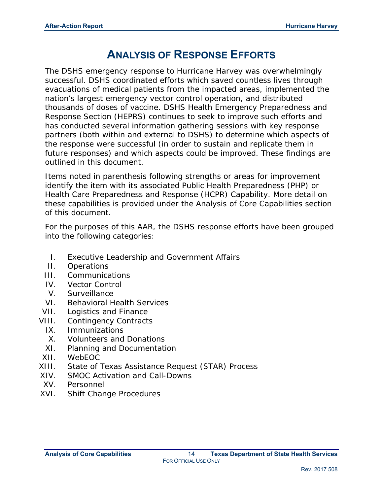## **ANALYSIS OF RESPONSE EFFORTS**

The DSHS emergency response to Hurricane Harvey was overwhelmingly successful. DSHS coordinated efforts which saved countless lives through evacuations of medical patients from the impacted areas, implemented the nation's largest emergency vector control operation, and distributed thousands of doses of vaccine. DSHS Health Emergency Preparedness and Response Section (HEPRS) continues to seek to improve such efforts and has conducted several information gathering sessions with key response partners (both within and external to DSHS) to determine which aspects of the response were successful (in order to sustain and replicate them in future responses) and which aspects could be improved. These findings are outlined in this document.

Items noted in parenthesis following strengths or areas for improvement identify the item with its associated Public Health Preparedness (PHP) or Health Care Preparedness and Response (HCPR) Capability. More detail on these capabilities is provided under the *Analysis of Core Capabilities* section of this document.

For the purposes of this AAR, the DSHS response efforts have been grouped into the following categories:

- I. Executive Leadership and Government Affairs
- II. Operations
- III. Communications
- IV. Vector Control
- V. Surveillance
- VI. Behavioral Health Services
- VII. Logistics and Finance
- VIII. Contingency Contracts
	- IX. Immunizations
	- X. Volunteers and Donations
	- XI. Planning and Documentation
- XII. WebEOC
- XIII. State of Texas Assistance Request (STAR) Process
- XIV. SMOC Activation and Call-Downs
- XV. Personnel
- XVI. Shift Change Procedures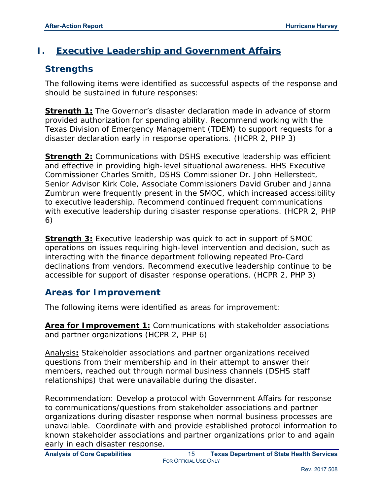### **I. Executive Leadership and Government Affairs**

### **Strengths**

The following items were identified as successful aspects of the response and should be sustained in future responses:

**Strength 1:** The Governor's disaster declaration made in advance of storm provided authorization for spending ability. *Recommend working with the Texas Division of Emergency Management (TDEM) to support requests for a disaster declaration early in response operations.* (HCPR 2, PHP 3)

**Strength 2:** Communications with DSHS executive leadership was efficient and effective in providing high-level situational awareness. HHS Executive Commissioner Charles Smith, DSHS Commissioner Dr. John Hellerstedt, Senior Advisor Kirk Cole, Associate Commissioners David Gruber and Janna Zumbrun were frequently present in the SMOC, which increased accessibility to executive leadership. *Recommend continued frequent communications with executive leadership during disaster response operations.* (HCPR 2, PHP 6)

**Strength 3:** Executive leadership was quick to act in support of SMOC operations on issues requiring high-level intervention and decision, such as interacting with the finance department following repeated Pro-Card declinations from vendors. *Recommend executive leadership continue to be accessible for support of disaster response operations.* (HCPR 2, PHP 3)

### **Areas for Improvement**

The following items were identified as areas for improvement:

**Area for Improvement 1:** Communications with stakeholder associations and partner organizations (HCPR 2, PHP 6)

Analysis**:** Stakeholder associations and partner organizations received questions from their membership and in their attempt to answer their members, reached out through normal business channels (DSHS staff relationships) that were unavailable during the disaster.

Recommendation: Develop a protocol with Government Affairs for response to communications/questions from stakeholder associations and partner organizations during disaster response when normal business processes are unavailable. Coordinate with and provide established protocol information to known stakeholder associations and partner organizations prior to and again early in each disaster response.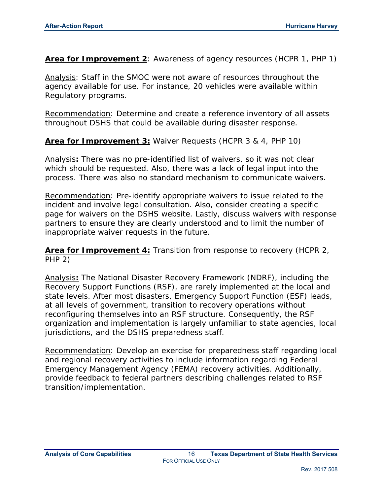**Area for Improvement 2**: Awareness of agency resources (HCPR 1, PHP 1)

Analysis: Staff in the SMOC were not aware of resources throughout the agency available for use. For instance, 20 vehicles were available within Regulatory programs.

Recommendation: Determine and create a reference inventory of all assets throughout DSHS that could be available during disaster response.

**Area for Improvement 3:** Waiver Requests (HCPR 3 & 4, PHP 10)

Analysis**:** There was no pre-identified list of waivers, so it was not clear which should be requested. Also, there was a lack of legal input into the process. There was also no standard mechanism to communicate waivers.

Recommendation: Pre-identify appropriate waivers to issue related to the incident and involve legal consultation. Also, consider creating a specific page for waivers on the DSHS website. Lastly, discuss waivers with response partners to ensure they are clearly understood and to limit the number of inappropriate waiver requests in the future.

**Area for Improvement 4:** Transition from response to recovery (HCPR 2, PHP 2)

Analysis**:** The National Disaster Recovery Framework (NDRF), including the Recovery Support Functions (RSF), are rarely implemented at the local and state levels. After most disasters, Emergency Support Function (ESF) leads, at all levels of government, transition to recovery operations without reconfiguring themselves into an RSF structure. Consequently, the RSF organization and implementation is largely unfamiliar to state agencies, local jurisdictions, and the DSHS preparedness staff.

Recommendation: Develop an exercise for preparedness staff regarding local and regional recovery activities to include information regarding Federal Emergency Management Agency (FEMA) recovery activities. Additionally, provide feedback to federal partners describing challenges related to RSF transition/implementation.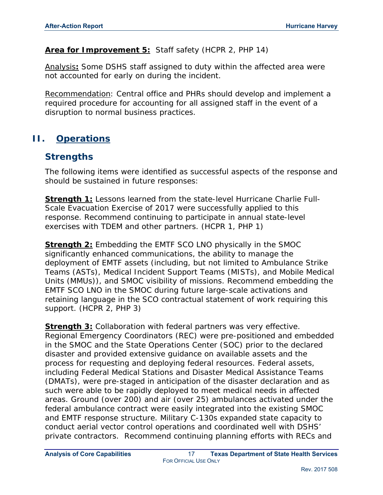#### **Area for Improvement 5:** Staff safety (HCPR 2, PHP 14)

Analysis**:** Some DSHS staff assigned to duty within the affected area were not accounted for early on during the incident.

Recommendation: Central office and PHRs should develop and implement a required procedure for accounting for all assigned staff in the event of a disruption to normal business practices.

### **II. Operations**

### **Strengths**

The following items were identified as successful aspects of the response and should be sustained in future responses:

**Strength 1:** Lessons learned from the state-level Hurricane Charlie Full-Scale Evacuation Exercise of 2017 were successfully applied to this response. *Recommend continuing to participate in annual state-level exercises with TDEM and other partners.* (HCPR 1, PHP 1)

**Strength 2:** Embedding the EMTF SCO LNO physically in the SMOC significantly enhanced communications, the ability to manage the deployment of EMTF assets (including, but not limited to Ambulance Strike Teams (ASTs), Medical Incident Support Teams (MISTs), and Mobile Medical Units (MMUs)), and SMOC visibility of missions. *Recommend embedding the EMTF SCO LNO in the SMOC during future large-scale activations and retaining language in the SCO contractual statement of work requiring this support.* (HCPR 2, PHP 3)

**Strength 3:** Collaboration with federal partners was very effective. Regional Emergency Coordinators (REC) were pre-positioned and embedded in the SMOC and the State Operations Center (SOC) prior to the declared disaster and provided extensive guidance on available assets and the process for requesting and deploying federal resources. Federal assets, including Federal Medical Stations and Disaster Medical Assistance Teams (DMATs), were pre-staged in anticipation of the disaster declaration and as such were able to be rapidly deployed to meet medical needs in affected areas. Ground (over 200) and air (over 25) ambulances activated under the federal ambulance contract were easily integrated into the existing SMOC and EMTF response structure. Military C-130s expanded state capacity to conduct aerial vector control operations and coordinated well with DSHS' private contractors. *Recommend continuing planning efforts with RECs and*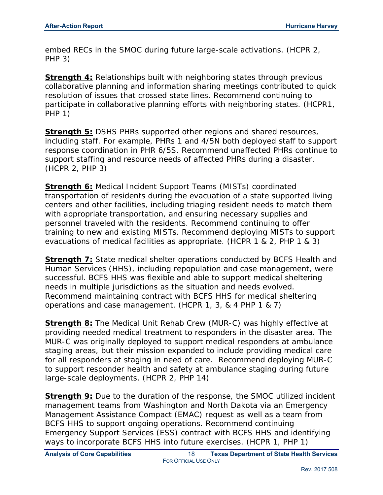*embed RECs in the SMOC during future large-scale activations.* (HCPR 2, PHP 3)

**Strength 4:** Relationships built with neighboring states through previous collaborative planning and information sharing meetings contributed to quick resolution of issues that crossed state lines. *Recommend continuing to participate in collaborative planning efforts with neighboring states.* (HCPR1, PHP 1)

**Strength 5:** DSHS PHRs supported other regions and shared resources, including staff. For example, PHRs 1 and 4/5N both deployed staff to support response coordination in PHR 6/5S. *Recommend unaffected PHRs continue to support staffing and resource needs of affected PHRs during a disaster.*  (HCPR 2, PHP 3)

**Strength 6:** Medical Incident Support Teams (MISTs) coordinated transportation of residents during the evacuation of a state supported living centers and other facilities, including triaging resident needs to match them with appropriate transportation, and ensuring necessary supplies and personnel traveled with the residents. *Recommend continuing to offer training to new and existing MISTs. Recommend deploying MISTs to support evacuations of medical facilities as appropriate.* (HCPR 1 & 2, PHP 1 & 3)

**Strength 7:** State medical shelter operations conducted by BCFS Health and Human Services (HHS), including repopulation and case management, were successful. BCFS HHS was flexible and able to support medical sheltering needs in multiple jurisdictions as the situation and needs evolved. *Recommend maintaining contract with BCFS HHS for medical sheltering operations and case management.* (HCPR 1, 3, & 4 PHP 1 & 7)

**Strength 8:** The Medical Unit Rehab Crew (MUR-C) was highly effective at providing needed medical treatment to responders in the disaster area. The MUR-C was originally deployed to support medical responders at ambulance staging areas, but their mission expanded to include providing medical care for all responders at staging in need of care. *Recommend deploying MUR-C to support responder health and safety at ambulance staging during future large-scale deployments.* (HCPR 2, PHP 14)

**Strength 9:** Due to the duration of the response, the SMOC utilized incident management teams from Washington and North Dakota via an Emergency Management Assistance Compact (EMAC) request as well as a team from BCFS HHS to support ongoing operations. *Recommend continuing Emergency Support Services (ESS) contract with BCFS HHS and identifying ways to incorporate BCFS HHS into future exercises.* (HCPR 1, PHP 1)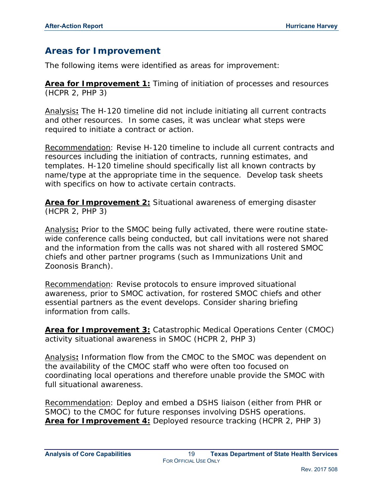### **Areas for Improvement**

The following items were identified as areas for improvement:

**Area for Improvement 1:** Timing of initiation of processes and resources (HCPR 2, PHP 3)

Analysis**:** The H-120 timeline did not include initiating all current contracts and other resources. In some cases, it was unclear what steps were required to initiate a contract or action.

Recommendation: Revise H-120 timeline to include all current contracts and resources including the initiation of contracts, running estimates, and templates. H-120 timeline should specifically list all known contracts by name/type at the appropriate time in the sequence. Develop task sheets with specifics on how to activate certain contracts.

**Area for Improvement 2:** Situational awareness of emerging disaster (HCPR 2, PHP 3)

Analysis**:** Prior to the SMOC being fully activated, there were routine statewide conference calls being conducted, but call invitations were not shared and the information from the calls was not shared with all rostered SMOC chiefs and other partner programs (such as Immunizations Unit and Zoonosis Branch).

Recommendation: Revise protocols to ensure improved situational awareness, prior to SMOC activation, for rostered SMOC chiefs and other essential partners as the event develops. Consider sharing briefing information from calls.

**Area for Improvement 3:** Catastrophic Medical Operations Center (CMOC) activity situational awareness in SMOC (HCPR 2, PHP 3)

Analysis**:** Information flow from the CMOC to the SMOC was dependent on the availability of the CMOC staff who were often too focused on coordinating local operations and therefore unable provide the SMOC with full situational awareness.

Recommendation: Deploy and embed a DSHS liaison (either from PHR or SMOC) to the CMOC for future responses involving DSHS operations. **Area for Improvement 4:** Deployed resource tracking (HCPR 2, PHP 3)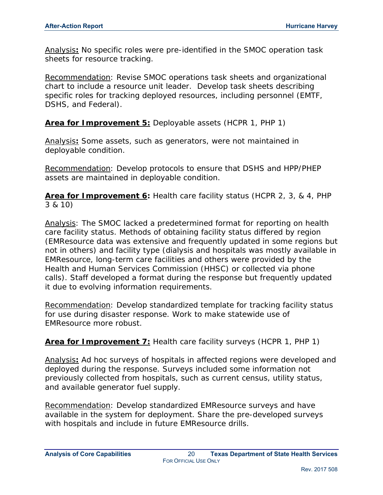Analysis**:** No specific roles were pre-identified in the SMOC operation task sheets for resource tracking.

Recommendation: Revise SMOC operations task sheets and organizational chart to include a resource unit leader. Develop task sheets describing specific roles for tracking deployed resources, including personnel (EMTF, DSHS, and Federal).

#### **Area for Improvement 5:** Deployable assets (HCPR 1, PHP 1)

Analysis**:** Some assets, such as generators, were not maintained in deployable condition.

Recommendation: Develop protocols to ensure that DSHS and HPP/PHEP assets are maintained in deployable condition.

**Area for Improvement 6:** Health care facility status (HCPR 2, 3, & 4, PHP 3 & 10)

Analysis: The SMOC lacked a predetermined format for reporting on health care facility status. Methods of obtaining facility status differed by region (EMResource data was extensive and frequently updated in some regions but not in others) and facility type (dialysis and hospitals was mostly available in EMResource, long-term care facilities and others were provided by the Health and Human Services Commission (HHSC) or collected via phone calls). Staff developed a format during the response but frequently updated it due to evolving information requirements.

Recommendation: Develop standardized template for tracking facility status for use during disaster response. Work to make statewide use of EMResource more robust.

#### **Area for Improvement 7:** Health care facility surveys (HCPR 1, PHP 1)

Analysis**:** Ad hoc surveys of hospitals in affected regions were developed and deployed during the response. Surveys included some information not previously collected from hospitals, such as current census, utility status, and available generator fuel supply.

Recommendation: Develop standardized EMResource surveys and have available in the system for deployment. Share the pre-developed surveys with hospitals and include in future EMResource drills.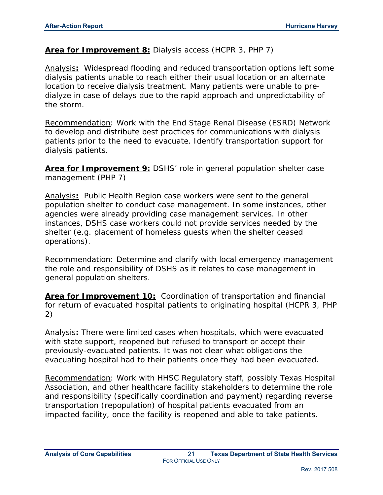#### **Area for Improvement 8:** Dialysis access (HCPR 3, PHP 7)

Analysis**:** Widespread flooding and reduced transportation options left some dialysis patients unable to reach either their usual location or an alternate location to receive dialysis treatment. Many patients were unable to predialyze in case of delays due to the rapid approach and unpredictability of the storm.

Recommendation: Work with the End Stage Renal Disease (ESRD) Network to develop and distribute best practices for communications with dialysis patients prior to the need to evacuate. Identify transportation support for dialysis patients.

**Area for Improvement 9:** DSHS' role in general population shelter case management (PHP 7)

Analysis**:** Public Health Region case workers were sent to the general population shelter to conduct case management. In some instances, other agencies were already providing case management services. In other instances, DSHS case workers could not provide services needed by the shelter (e.g. placement of homeless guests when the shelter ceased operations).

Recommendation: Determine and clarify with local emergency management the role and responsibility of DSHS as it relates to case management in general population shelters.

Area for Improvement 10: Coordination of transportation and financial for return of evacuated hospital patients to originating hospital (HCPR 3, PHP 2)

Analysis**:** There were limited cases when hospitals, which were evacuated with state support, reopened but refused to transport or accept their previously-evacuated patients. It was not clear what obligations the evacuating hospital had to their patients once they had been evacuated.

Recommendation: Work with HHSC Regulatory staff, possibly Texas Hospital Association, and other healthcare facility stakeholders to determine the role and responsibility (specifically coordination and payment) regarding reverse transportation (repopulation) of hospital patients evacuated from an impacted facility, once the facility is reopened and able to take patients.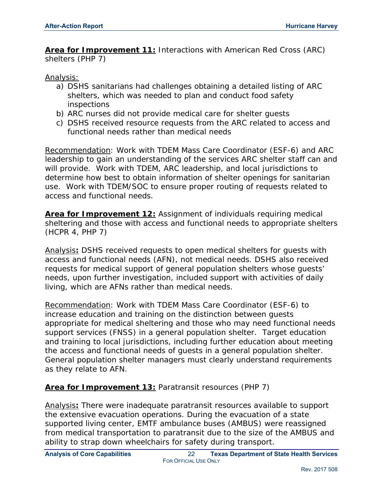**Area for Improvement 11:** Interactions with American Red Cross (ARC) shelters (PHP 7)

#### Analysis:

- a) DSHS sanitarians had challenges obtaining a detailed listing of ARC shelters, which was needed to plan and conduct food safety inspections
- b) ARC nurses did not provide medical care for shelter guests
- c) DSHS received resource requests from the ARC related to access and functional needs rather than medical needs

Recommendation: Work with TDEM Mass Care Coordinator (ESF-6) and ARC leadership to gain an understanding of the services ARC shelter staff can and will provide. Work with TDEM, ARC leadership, and local jurisdictions to determine how best to obtain information of shelter openings for sanitarian use. Work with TDEM/SOC to ensure proper routing of requests related to access and functional needs.

**Area for Improvement 12:** Assignment of individuals requiring medical sheltering and those with access and functional needs to appropriate shelters (HCPR 4, PHP 7)

Analysis**:** DSHS received requests to open medical shelters for guests with access and functional needs (AFN), not medical needs. DSHS also received requests for medical support of general population shelters whose guests' needs, upon further investigation, included support with activities of daily living, which are AFNs rather than medical needs.

Recommendation: Work with TDEM Mass Care Coordinator (ESF-6) to increase education and training on the distinction between guests appropriate for medical sheltering and those who may need functional needs support services (FNSS) in a general population shelter. Target education and training to local jurisdictions, including further education about meeting the access and functional needs of guests in a general population shelter. General population shelter managers must clearly understand requirements as they relate to AFN.

#### **Area for Improvement 13:** Paratransit resources (PHP 7)

Analysis**:** There were inadequate paratransit resources available to support the extensive evacuation operations. During the evacuation of a state supported living center, EMTF ambulance buses (AMBUS) were reassigned from medical transportation to paratransit due to the size of the AMBUS and ability to strap down wheelchairs for safety during transport.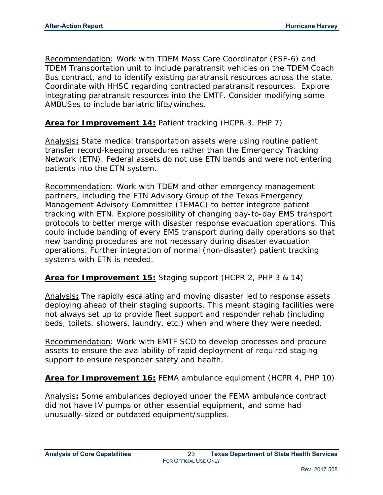Recommendation: Work with TDEM Mass Care Coordinator (ESF-6) and TDEM Transportation unit to include paratransit vehicles on the TDEM Coach Bus contract, and to identify existing paratransit resources across the state. Coordinate with HHSC regarding contracted paratransit resources. Explore integrating paratransit resources into the EMTF. Consider modifying some AMBUSes to include bariatric lifts/winches.

#### **Area for Improvement 14:** Patient tracking (HCPR 3, PHP 7)

Analysis**:** State medical transportation assets were using routine patient transfer record-keeping procedures rather than the Emergency Tracking Network (ETN). Federal assets do not use ETN bands and were not entering patients into the ETN system.

Recommendation: Work with TDEM and other emergency management partners, including the ETN Advisory Group of the Texas Emergency Management Advisory Committee (TEMAC) to better integrate patient tracking with ETN. Explore possibility of changing day-to-day EMS transport protocols to better merge with disaster response evacuation operations. This could include banding of every EMS transport during daily operations so that new banding procedures are not necessary during disaster evacuation operations. Further integration of normal (non-disaster) patient tracking systems with ETN is needed.

#### **Area for Improvement 15:** Staging support (HCPR 2, PHP 3 & 14)

Analysis**:** The rapidly escalating and moving disaster led to response assets deploying ahead of their staging supports. This meant staging facilities were not always set up to provide fleet support and responder rehab (including beds, toilets, showers, laundry, etc.) when and where they were needed.

Recommendation: Work with EMTF SCO to develop processes and procure assets to ensure the availability of rapid deployment of required staging support to ensure responder safety and health.

Area for Improvement 16: FEMA ambulance equipment (HCPR 4, PHP 10)

Analysis**:** Some ambulances deployed under the FEMA ambulance contract did not have IV pumps or other essential equipment, and some had unusually-sized or outdated equipment/supplies.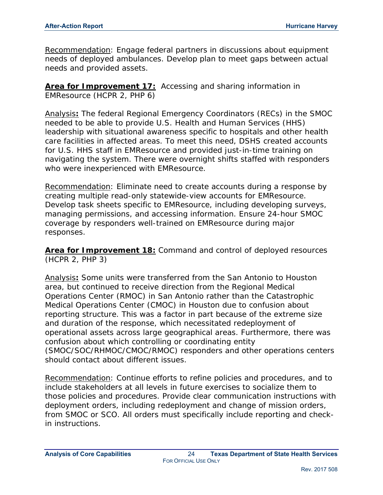Recommendation: Engage federal partners in discussions about equipment needs of deployed ambulances. Develop plan to meet gaps between actual needs and provided assets.

**Area for Improvement 17:** Accessing and sharing information in EMResource (HCPR 2, PHP 6)

Analysis**:** The federal Regional Emergency Coordinators (RECs) in the SMOC needed to be able to provide U.S. Health and Human Services (HHS) leadership with situational awareness specific to hospitals and other health care facilities in affected areas. To meet this need, DSHS created accounts for U.S. HHS staff in EMResource and provided just-in-time training on navigating the system. There were overnight shifts staffed with responders who were inexperienced with EMResource.

Recommendation: Eliminate need to create accounts during a response by creating multiple read-only statewide-view accounts for EMResource. Develop task sheets specific to EMResource, including developing surveys, managing permissions, and accessing information. Ensure 24-hour SMOC coverage by responders well-trained on EMResource during major responses.

**Area for Improvement 18:** Command and control of deployed resources (HCPR 2, PHP 3)

Analysis**:** Some units were transferred from the San Antonio to Houston area, but continued to receive direction from the Regional Medical Operations Center (RMOC) in San Antonio rather than the Catastrophic Medical Operations Center (CMOC) in Houston due to confusion about reporting structure. This was a factor in part because of the extreme size and duration of the response, which necessitated redeployment of operational assets across large geographical areas. Furthermore, there was confusion about which controlling or coordinating entity (SMOC/SOC/RHMOC/CMOC/RMOC) responders and other operations centers should contact about different issues.

Recommendation: Continue efforts to refine policies and procedures, and to include stakeholders at all levels in future exercises to socialize them to those policies and procedures. Provide clear communication instructions with deployment orders, including redeployment and change of mission orders, from SMOC or SCO. All orders must specifically include reporting and checkin instructions.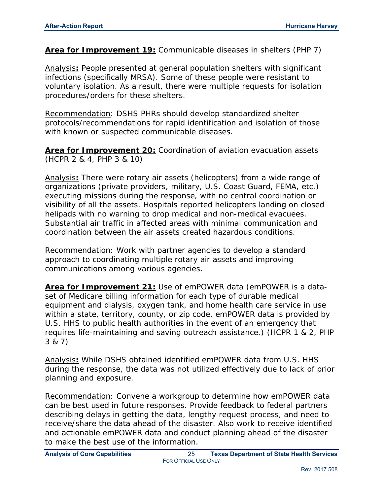**Area for Improvement 19:** Communicable diseases in shelters (PHP 7)

Analysis**:** People presented at general population shelters with significant infections (specifically MRSA). Some of these people were resistant to voluntary isolation. As a result, there were multiple requests for isolation procedures/orders for these shelters.

Recommendation: DSHS PHRs should develop standardized shelter protocols/recommendations for rapid identification and isolation of those with known or suspected communicable diseases.

**Area for Improvement 20:** Coordination of aviation evacuation assets (HCPR 2 & 4, PHP 3 & 10)

Analysis**:** There were rotary air assets (helicopters) from a wide range of organizations (private providers, military, U.S. Coast Guard, FEMA, etc.) executing missions during the response, with no central coordination or visibility of all the assets. Hospitals reported helicopters landing on closed helipads with no warning to drop medical and non-medical evacuees. Substantial air traffic in affected areas with minimal communication and coordination between the air assets created hazardous conditions.

Recommendation: Work with partner agencies to develop a standard approach to coordinating multiple rotary air assets and improving communications among various agencies.

**Area for Improvement 21:** Use of emPOWER data (emPOWER is a dataset of Medicare billing information for each type of durable medical equipment and dialysis, oxygen tank, and home health care service in use within a state, territory, county, or zip code. emPOWER data is provided by U.S. HHS to public health authorities in the event of an emergency that requires life-maintaining and saving outreach assistance.) (HCPR 1 & 2, PHP 3 & 7)

Analysis**:** While DSHS obtained identified emPOWER data from U.S. HHS during the response, the data was not utilized effectively due to lack of prior planning and exposure.

Recommendation: Convene a workgroup to determine how emPOWER data can be best used in future responses. Provide feedback to federal partners describing delays in getting the data, lengthy request process, and need to receive/share the data ahead of the disaster. Also work to receive identified and actionable emPOWER data and conduct planning ahead of the disaster to make the best use of the information.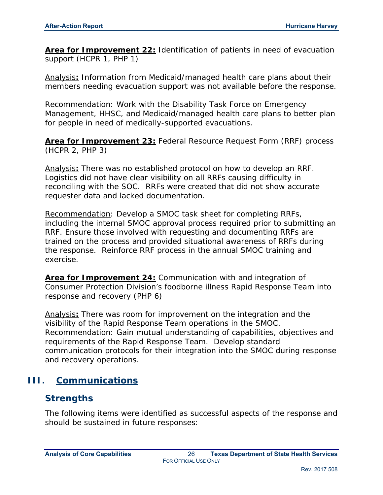**Area for Improvement 22:** Identification of patients in need of evacuation support (HCPR 1, PHP 1)

Analysis**:** Information from Medicaid/managed health care plans about their members needing evacuation support was not available before the response.

Recommendation: Work with the Disability Task Force on Emergency Management, HHSC, and Medicaid/managed health care plans to better plan for people in need of medically-supported evacuations.

**Area for Improvement 23:** Federal Resource Request Form (RRF) process (HCPR 2, PHP 3)

Analysis**:** There was no established protocol on how to develop an RRF. Logistics did not have clear visibility on all RRFs causing difficulty in reconciling with the SOC. RRFs were created that did not show accurate requester data and lacked documentation.

Recommendation: Develop a SMOC task sheet for completing RRFs, including the internal SMOC approval process required prior to submitting an RRF. Ensure those involved with requesting and documenting RRFs are trained on the process and provided situational awareness of RRFs during the response. Reinforce RRF process in the annual SMOC training and exercise.

**Area for Improvement 24:** Communication with and integration of Consumer Protection Division's foodborne illness Rapid Response Team into response and recovery (PHP 6)

Analysis**:** There was room for improvement on the integration and the visibility of the Rapid Response Team operations in the SMOC. Recommendation: Gain mutual understanding of capabilities, objectives and requirements of the Rapid Response Team. Develop standard communication protocols for their integration into the SMOC during response and recovery operations.

### **III. Communications**

### **Strengths**

The following items were identified as successful aspects of the response and should be sustained in future responses: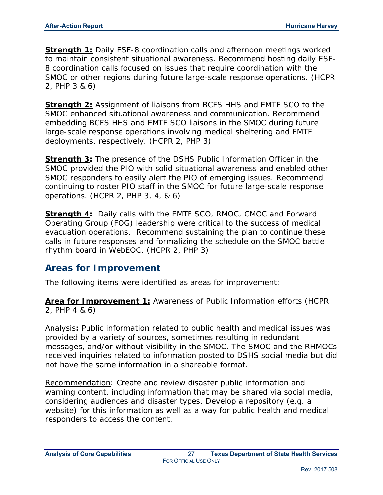**Strength 1:** Daily ESF-8 coordination calls and afternoon meetings worked to maintain consistent situational awareness. *Recommend hosting daily ESF-8 coordination calls focused on issues that require coordination with the SMOC or other regions during future large-scale response operations.* (HCPR 2, PHP 3 & 6)

**Strength 2:** Assignment of liaisons from BCFS HHS and EMTF SCO to the SMOC enhanced situational awareness and communication. *Recommend embedding BCFS HHS and EMTF SCO liaisons in the SMOC during future large-scale response operations involving medical sheltering and EMTF deployments, respectively.* (HCPR 2, PHP 3)

**Strength 3:** The presence of the DSHS Public Information Officer in the SMOC provided the PIO with solid situational awareness and enabled other SMOC responders to easily alert the PIO of emerging issues. *Recommend continuing to roster PIO staff in the SMOC for future large-scale response operations.* (HCPR 2, PHP 3, 4, & 6)

**Strength 4:** Daily calls with the EMTF SCO, RMOC, CMOC and Forward Operating Group (FOG) leadership were critical to the success of medical evacuation operations. *Recommend sustaining the plan to continue these calls in future responses and formalizing the schedule on the SMOC battle rhythm board in WebEOC.* (HCPR 2, PHP 3)

### **Areas for Improvement**

The following items were identified as areas for improvement:

**Area for Improvement 1:** Awareness of Public Information efforts (HCPR 2, PHP 4 & 6)

Analysis**:** Public information related to public health and medical issues was provided by a variety of sources, sometimes resulting in redundant messages, and/or without visibility in the SMOC. The SMOC and the RHMOCs received inquiries related to information posted to DSHS social media but did not have the same information in a shareable format.

Recommendation: Create and review disaster public information and warning content, including information that may be shared via social media, considering audiences and disaster types. Develop a repository (e.g. a website) for this information as well as a way for public health and medical responders to access the content.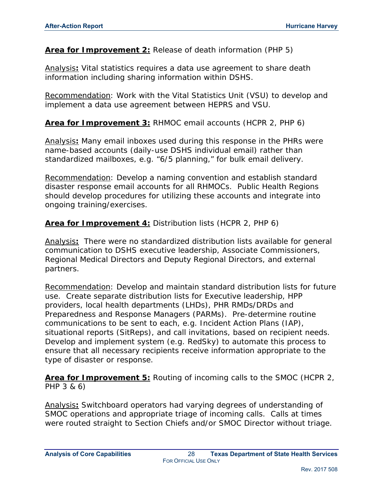**Area for Improvement 2:** Release of death information (PHP 5)

Analysis**:** Vital statistics requires a data use agreement to share death information including sharing information within DSHS.

Recommendation: Work with the Vital Statistics Unit (VSU) to develop and implement a data use agreement between HEPRS and VSU.

#### **Area for Improvement 3:** RHMOC email accounts (HCPR 2, PHP 6)

Analysis**:** Many email inboxes used during this response in the PHRs were name-based accounts (daily-use DSHS individual email) rather than standardized mailboxes, e.g. "6/5 planning," for bulk email delivery.

Recommendation: Develop a naming convention and establish standard disaster response email accounts for all RHMOCs. Public Health Regions should develop procedures for utilizing these accounts and integrate into ongoing training/exercises.

#### **Area for Improvement 4:** Distribution lists (HCPR 2, PHP 6)

Analysis**:** There were no standardized distribution lists available for general communication to DSHS executive leadership, Associate Commissioners, Regional Medical Directors and Deputy Regional Directors, and external partners.

Recommendation: Develop and maintain standard distribution lists for future use. Create separate distribution lists for Executive leadership, HPP providers, local health departments (LHDs), PHR RMDs/DRDs and Preparedness and Response Managers (PARMs). Pre-determine routine communications to be sent to each, e.g. Incident Action Plans (IAP), situational reports (SitReps), and call invitations, based on recipient needs. Develop and implement system (e.g. RedSky) to automate this process to ensure that all necessary recipients receive information appropriate to the type of disaster or response.

**Area for Improvement 5:** Routing of incoming calls to the SMOC (HCPR 2, PHP 3 & 6)

Analysis**:** Switchboard operators had varying degrees of understanding of SMOC operations and appropriate triage of incoming calls. Calls at times were routed straight to Section Chiefs and/or SMOC Director without triage.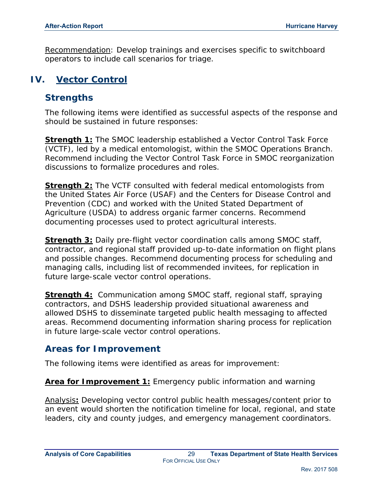Recommendation: Develop trainings and exercises specific to switchboard operators to include call scenarios for triage.

### **IV. Vector Control**

### **Strengths**

The following items were identified as successful aspects of the response and should be sustained in future responses:

**Strength 1:** The SMOC leadership established a Vector Control Task Force (VCTF), led by a medical entomologist, within the SMOC Operations Branch. *Recommend including the Vector Control Task Force in SMOC reorganization discussions to formalize procedures and roles.* 

**Strength 2:** The VCTF consulted with federal medical entomologists from the United States Air Force (USAF) and the Centers for Disease Control and Prevention (CDC) and worked with the United Stated Department of Agriculture (USDA) to address organic farmer concerns. *Recommend documenting processes used to protect agricultural interests.* 

**Strength 3:** Daily pre-flight vector coordination calls among SMOC staff, contractor, and regional staff provided up-to-date information on flight plans and possible changes. *Recommend documenting process for scheduling and managing calls, including list of recommended invitees, for replication in future large-scale vector control operations.* 

**Strength 4:** Communication among SMOC staff, regional staff, spraying contractors, and DSHS leadership provided situational awareness and allowed DSHS to disseminate targeted public health messaging to affected areas. *Recommend documenting information sharing process for replication in future large-scale vector control operations.*

#### **Areas for Improvement**

The following items were identified as areas for improvement:

**Area for Improvement 1:** Emergency public information and warning

Analysis**:** Developing vector control public health messages/content prior to an event would shorten the notification timeline for local, regional, and state leaders, city and county judges, and emergency management coordinators.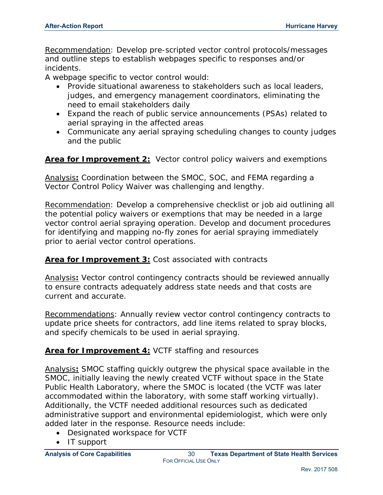Recommendation: Develop pre-scripted vector control protocols/messages and outline steps to establish webpages specific to responses and/or incidents.

A webpage specific to vector control would:

- Provide situational awareness to stakeholders such as local leaders, judges, and emergency management coordinators, eliminating the need to email stakeholders daily
- Expand the reach of public service announcements (PSAs) related to aerial spraying in the affected areas
- Communicate any aerial spraying scheduling changes to county judges and the public

**Area for Improvement 2:** Vector control policy waivers and exemptions

Analysis**:** Coordination between the SMOC, SOC, and FEMA regarding a Vector Control Policy Waiver was challenging and lengthy.

Recommendation: Develop a comprehensive checklist or job aid outlining all the potential policy waivers or exemptions that may be needed in a large vector control aerial spraying operation. Develop and document procedures for identifying and mapping no-fly zones for aerial spraying immediately prior to aerial vector control operations.

#### **Area for Improvement 3:** Cost associated with contracts

Analysis**:** Vector control contingency contracts should be reviewed annually to ensure contracts adequately address state needs and that costs are current and accurate.

Recommendations: Annually review vector control contingency contracts to update price sheets for contractors, add line items related to spray blocks, and specify chemicals to be used in aerial spraying.

#### **Area for Improvement 4: VCTF staffing and resources**

Analysis**:** SMOC staffing quickly outgrew the physical space available in the SMOC, initially leaving the newly created VCTF without space in the State Public Health Laboratory, where the SMOC is located (the VCTF was later accommodated within the laboratory, with some staff working virtually). Additionally, the VCTF needed additional resources such as dedicated administrative support and environmental epidemiologist, which were only added later in the response. Resource needs include:

- Designated workspace for VCTF
- IT support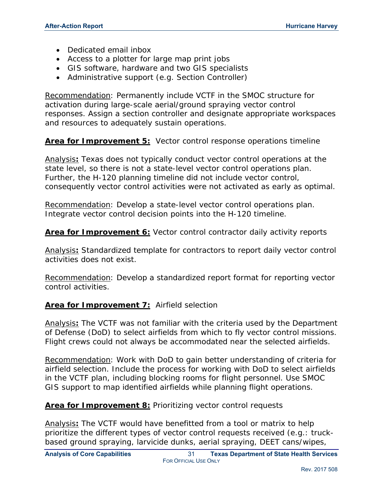- Dedicated email inbox
- Access to a plotter for large map print jobs
- GIS software, hardware and two GIS specialists
- Administrative support (e.g. Section Controller)

Recommendation: Permanently include VCTF in the SMOC structure for activation during large-scale aerial/ground spraying vector control responses. Assign a section controller and designate appropriate workspaces and resources to adequately sustain operations.

**Area for Improvement 5:** Vector control response operations timeline

Analysis**:** Texas does not typically conduct vector control operations at the state level, so there is not a state-level vector control operations plan. Further, the H-120 planning timeline did not include vector control, consequently vector control activities were not activated as early as optimal.

Recommendation: Develop a state-level vector control operations plan. Integrate vector control decision points into the H-120 timeline.

**Area for Improvement 6:** Vector control contractor daily activity reports

Analysis**:** Standardized template for contractors to report daily vector control activities does not exist.

Recommendation: Develop a standardized report format for reporting vector control activities.

#### **Area for Improvement 7:** Airfield selection

Analysis**:** The VCTF was not familiar with the criteria used by the Department of Defense (DoD) to select airfields from which to fly vector control missions. Flight crews could not always be accommodated near the selected airfields.

Recommendation: Work with DoD to gain better understanding of criteria for airfield selection. Include the process for working with DoD to select airfields in the VCTF plan, including blocking rooms for flight personnel. Use SMOC GIS support to map identified airfields while planning flight operations.

#### **Area for Improvement 8:** Prioritizing vector control requests

Analysis**:** The VCTF would have benefitted from a tool or matrix to help prioritize the different types of vector control requests received (e.g.: truckbased ground spraying, larvicide dunks, aerial spraying, DEET cans/wipes,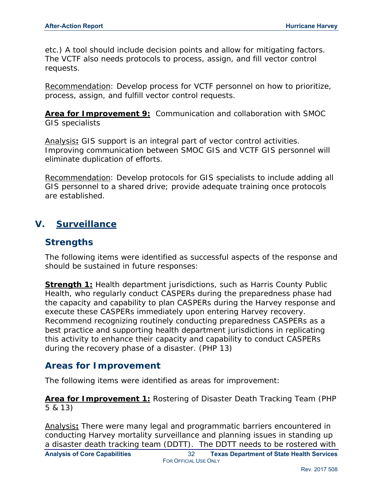etc.) A tool should include decision points and allow for mitigating factors. The VCTF also needs protocols to process, assign, and fill vector control requests.

Recommendation: Develop process for VCTF personnel on how to prioritize, process, assign, and fulfill vector control requests.

**Area for Improvement 9:** Communication and collaboration with SMOC GIS specialists

Analysis**:** GIS support is an integral part of vector control activities. Improving communication between SMOC GIS and VCTF GIS personnel will eliminate duplication of efforts.

Recommendation: Develop protocols for GIS specialists to include adding all GIS personnel to a shared drive; provide adequate training once protocols are established.

### **V. Surveillance**

### **Strengths**

The following items were identified as successful aspects of the response and should be sustained in future responses:

**Strength 1:** Health department jurisdictions, such as Harris County Public Health, who regularly conduct CASPERs during the preparedness phase had the capacity and capability to plan CASPERs during the Harvey response and execute these CASPERs immediately upon entering Harvey recovery. *Recommend recognizing routinely conducting preparedness CASPERs as a*  best practice and supporting health department jurisdictions in replicating *this activity to enhance their capacity and capability to conduct CASPERs during the recovery phase of a disaster.* (PHP 13)

### **Areas for Improvement**

The following items were identified as areas for improvement:

**Area for Improvement 1:** Rostering of Disaster Death Tracking Team (PHP 5 & 13)

**Analysis of Core Capabilities** 32 **Texas Department of State Health Services**  FOR OFFICIAL USE ONLY Analysis**:** There were many legal and programmatic barriers encountered in conducting Harvey mortality surveillance and planning issues in standing up a disaster death tracking team (DDTT). The DDTT needs to be rostered with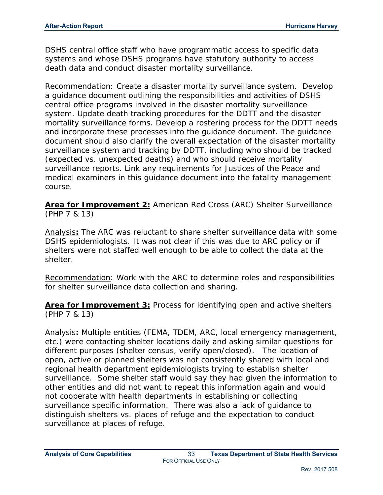DSHS central office staff who have programmatic access to specific data systems and whose DSHS programs have statutory authority to access death data and conduct disaster mortality surveillance.

Recommendation: Create a disaster mortality surveillance system. Develop a guidance document outlining the responsibilities and activities of DSHS central office programs involved in the disaster mortality surveillance system. Update death tracking procedures for the DDTT and the disaster mortality surveillance forms. Develop a rostering process for the DDTT needs and incorporate these processes into the guidance document. The guidance document should also clarify the overall expectation of the disaster mortality surveillance system and tracking by DDTT, including who should be tracked (expected vs. unexpected deaths) and who should receive mortality surveillance reports. Link any requirements for Justices of the Peace and medical examiners in this guidance document into the fatality management course.

**Area for Improvement 2:** American Red Cross (ARC) Shelter Surveillance (PHP 7 & 13)

Analysis**:** The ARC was reluctant to share shelter surveillance data with some DSHS epidemiologists. It was not clear if this was due to ARC policy or if shelters were not staffed well enough to be able to collect the data at the shelter.

Recommendation: Work with the ARC to determine roles and responsibilities for shelter surveillance data collection and sharing.

**Area for Improvement 3:** Process for identifying open and active shelters (PHP 7 & 13)

Analysis**:** Multiple entities (FEMA, TDEM, ARC, local emergency management, etc.) were contacting shelter locations daily and asking similar questions for different purposes (shelter census, verify open/closed). The location of open, active or planned shelters was not consistently shared with local and regional health department epidemiologists trying to establish shelter surveillance. Some shelter staff would say they had given the information to other entities and did not want to repeat this information again and would not cooperate with health departments in establishing or collecting surveillance specific information. There was also a lack of guidance to distinguish shelters vs. places of refuge and the expectation to conduct surveillance at places of refuge.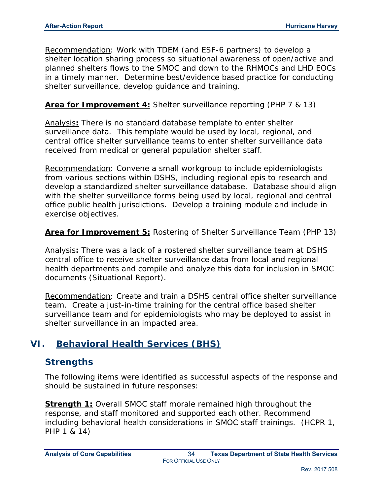Recommendation: Work with TDEM (and ESF-6 partners) to develop a shelter location sharing process so situational awareness of open/active and planned shelters flows to the SMOC and down to the RHMOCs and LHD EOCs in a timely manner. Determine best/evidence based practice for conducting shelter surveillance, develop guidance and training.

#### **Area for Improvement 4:** Shelter surveillance reporting (PHP 7 & 13)

Analysis**:** There is no standard database template to enter shelter surveillance data. This template would be used by local, regional, and central office shelter surveillance teams to enter shelter surveillance data received from medical or general population shelter staff.

Recommendation: Convene a small workgroup to include epidemiologists from various sections within DSHS, including regional epis to research and develop a standardized shelter surveillance database. Database should align with the shelter surveillance forms being used by local, regional and central office public health jurisdictions. Develop a training module and include in exercise objectives.

**Area for Improvement 5:** Rostering of Shelter Surveillance Team (PHP 13)

Analysis**:** There was a lack of a rostered shelter surveillance team at DSHS central office to receive shelter surveillance data from local and regional health departments and compile and analyze this data for inclusion in SMOC documents (Situational Report).

Recommendation: Create and train a DSHS central office shelter surveillance team. Create a just-in-time training for the central office based shelter surveillance team and for epidemiologists who may be deployed to assist in shelter surveillance in an impacted area.

### **VI. Behavioral Health Services (BHS)**

### **Strengths**

The following items were identified as successful aspects of the response and should be sustained in future responses:

**Strength 1:** Overall SMOC staff morale remained high throughout the response, and staff monitored and supported each other. *Recommend including behavioral health considerations in SMOC staff trainings.* (HCPR 1, PHP 1 & 14)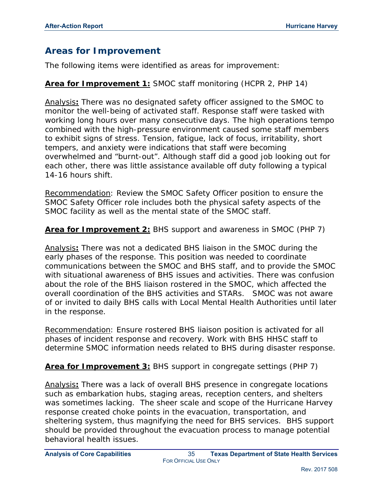### **Areas for Improvement**

The following items were identified as areas for improvement:

#### **Area for Improvement 1:** SMOC staff monitoring (HCPR 2, PHP 14)

Analysis**:** There was no designated safety officer assigned to the SMOC to monitor the well-being of activated staff. Response staff were tasked with working long hours over many consecutive days. The high operations tempo combined with the high-pressure environment caused some staff members to exhibit signs of stress. Tension, fatigue, lack of focus, irritability, short tempers, and anxiety were indications that staff were becoming overwhelmed and "burnt-out". Although staff did a good job looking out for each other, there was little assistance available off duty following a typical 14-16 hours shift.

Recommendation: Review the SMOC Safety Officer position to ensure the SMOC Safety Officer role includes both the physical safety aspects of the SMOC facility as well as the mental state of the SMOC staff.

#### **Area for Improvement 2:** BHS support and awareness in SMOC (PHP 7)

Analysis**:** There was not a dedicated BHS liaison in the SMOC during the early phases of the response. This position was needed to coordinate communications between the SMOC and BHS staff, and to provide the SMOC with situational awareness of BHS issues and activities. There was confusion about the role of the BHS liaison rostered in the SMOC, which affected the overall coordination of the BHS activities and STARs. SMOC was not aware of or invited to daily BHS calls with Local Mental Health Authorities until later in the response.

Recommendation: Ensure rostered BHS liaison position is activated for all phases of incident response and recovery. Work with BHS HHSC staff to determine SMOC information needs related to BHS during disaster response.

#### **Area for Improvement 3:** BHS support in congregate settings (PHP 7)

Analysis**:** There was a lack of overall BHS presence in congregate locations such as embarkation hubs, staging areas, reception centers, and shelters was sometimes lacking. The sheer scale and scope of the Hurricane Harvey response created choke points in the evacuation, transportation, and sheltering system, thus magnifying the need for BHS services. BHS support should be provided throughout the evacuation process to manage potential behavioral health issues.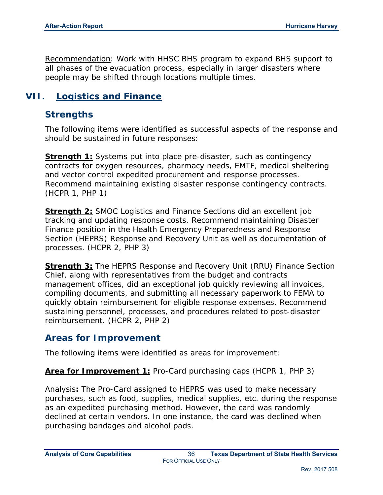Recommendation: Work with HHSC BHS program to expand BHS support to all phases of the evacuation process, especially in larger disasters where people may be shifted through locations multiple times.

### **VII. Logistics and Finance**

### **Strengths**

The following items were identified as successful aspects of the response and should be sustained in future responses:

**Strength 1:** Systems put into place pre-disaster, such as contingency contracts for oxygen resources, pharmacy needs, EMTF, medical sheltering and vector control expedited procurement and response processes. *Recommend maintaining existing disaster response contingency contracts.*  (HCPR 1, PHP 1)

**Strength 2:** SMOC Logistics and Finance Sections did an excellent job tracking and updating response costs. *Recommend maintaining Disaster Finance position in the Health Emergency Preparedness and Response Section (HEPRS) Response and Recovery Unit as well as documentation of processes.* (HCPR 2, PHP 3)

**Strength 3:** The HEPRS Response and Recovery Unit (RRU) Finance Section Chief, along with representatives from the budget and contracts management offices, did an exceptional job quickly reviewing all invoices, compiling documents, and submitting all necessary paperwork to FEMA to quickly obtain reimbursement for eligible response expenses. *Recommend sustaining personnel, processes, and procedures related to post-disaster reimbursement.* (HCPR 2, PHP 2)

### **Areas for Improvement**

The following items were identified as areas for improvement:

#### **Area for Improvement 1:** Pro-Card purchasing caps (HCPR 1, PHP 3)

Analysis**:** The Pro-Card assigned to HEPRS was used to make necessary purchases, such as food, supplies, medical supplies, etc. during the response as an expedited purchasing method. However, the card was randomly declined at certain vendors. In one instance, the card was declined when purchasing bandages and alcohol pads.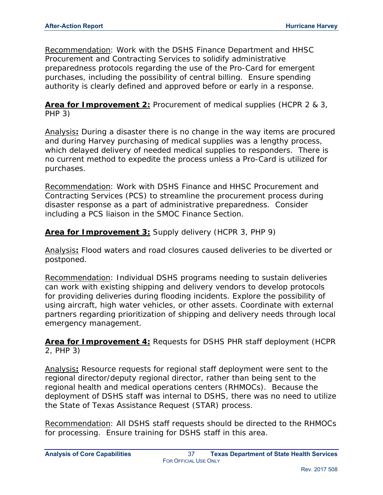Recommendation: Work with the DSHS Finance Department and HHSC Procurement and Contracting Services to solidify administrative preparedness protocols regarding the use of the Pro-Card for emergent purchases, including the possibility of central billing. Ensure spending authority is clearly defined and approved before or early in a response.

**Area for Improvement 2:** Procurement of medical supplies (HCPR 2 & 3, PHP 3)

Analysis**:** During a disaster there is no change in the way items are procured and during Harvey purchasing of medical supplies was a lengthy process, which delayed delivery of needed medical supplies to responders. There is no current method to expedite the process unless a Pro-Card is utilized for purchases.

Recommendation: Work with DSHS Finance and HHSC Procurement and Contracting Services (PCS) to streamline the procurement process during disaster response as a part of administrative preparedness. Consider including a PCS liaison in the SMOC Finance Section.

#### **Area for Improvement 3:** Supply delivery (HCPR 3, PHP 9)

Analysis**:** Flood waters and road closures caused deliveries to be diverted or postponed.

Recommendation: Individual DSHS programs needing to sustain deliveries can work with existing shipping and delivery vendors to develop protocols for providing deliveries during flooding incidents. Explore the possibility of using aircraft, high water vehicles, or other assets. Coordinate with external partners regarding prioritization of shipping and delivery needs through local emergency management.

**Area for Improvement 4:** Requests for DSHS PHR staff deployment (HCPR 2, PHP 3)

Analysis**:** Resource requests for regional staff deployment were sent to the regional director/deputy regional director, rather than being sent to the regional health and medical operations centers (RHMOCs). Because the deployment of DSHS staff was internal to DSHS, there was no need to utilize the State of Texas Assistance Request (STAR) process.

Recommendation: All DSHS staff requests should be directed to the RHMOCs for processing. Ensure training for DSHS staff in this area.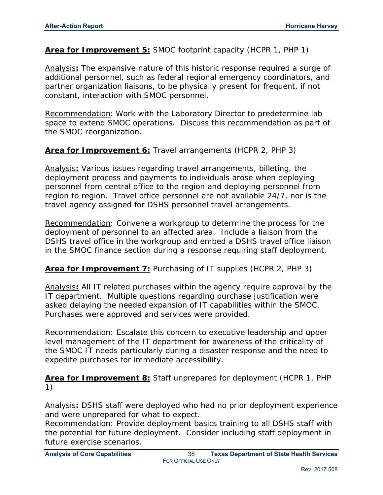#### **Area for Improvement 5:** SMOC footprint capacity (HCPR 1, PHP 1)

Analysis**:** The expansive nature of this historic response required a surge of additional personnel, such as federal regional emergency coordinators, and partner organization liaisons, to be physically present for frequent, if not constant, interaction with SMOC personnel.

Recommendation: Work with the Laboratory Director to predetermine lab space to extend SMOC operations. Discuss this recommendation as part of the SMOC reorganization.

#### **Area for Improvement 6:** Travel arrangements (HCPR 2, PHP 3)

Analysis**:** Various issues regarding travel arrangements, billeting, the deployment process and payments to individuals arose when deploying personnel from central office to the region and deploying personnel from region to region. Travel office personnel are not available 24/7, nor is the travel agency assigned for DSHS personnel travel arrangements.

Recommendation: Convene a workgroup to determine the process for the deployment of personnel to an affected area. Include a liaison from the DSHS travel office in the workgroup and embed a DSHS travel office liaison in the SMOC finance section during a response requiring staff deployment.

#### **Area for Improvement 7:** Purchasing of IT supplies (HCPR 2, PHP 3)

Analysis**:** All IT related purchases within the agency require approval by the IT department. Multiple questions regarding purchase justification were asked delaying the needed expansion of IT capabilities within the SMOC. Purchases were approved and services were provided.

Recommendation: Escalate this concern to executive leadership and upper level management of the IT department for awareness of the criticality of the SMOC IT needs particularly during a disaster response and the need to expedite purchases for immediate accessibility.

**Area for Improvement 8:** Staff unprepared for deployment (HCPR 1, PHP 1)

Analysis**:** DSHS staff were deployed who had no prior deployment experience and were unprepared for what to expect.

Recommendation: Provide deployment basics training to all DSHS staff with the potential for future deployment. Consider including staff deployment in future exercise scenarios.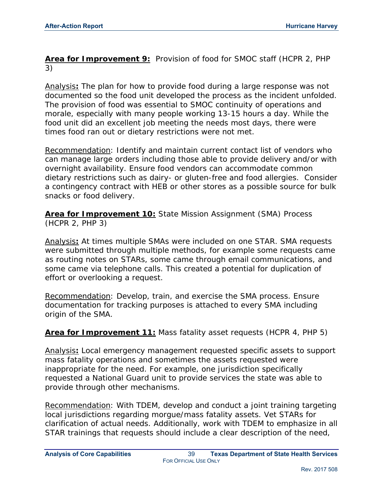**Area for Improvement 9:** Provision of food for SMOC staff (HCPR 2, PHP 3)

Analysis**:** The plan for how to provide food during a large response was not documented so the food unit developed the process as the incident unfolded. The provision of food was essential to SMOC continuity of operations and morale, especially with many people working 13-15 hours a day. While the food unit did an excellent job meeting the needs most days, there were times food ran out or dietary restrictions were not met.

Recommendation: Identify and maintain current contact list of vendors who can manage large orders including those able to provide delivery and/or with overnight availability. Ensure food vendors can accommodate common dietary restrictions such as dairy- or gluten-free and food allergies. Consider a contingency contract with HEB or other stores as a possible source for bulk snacks or food delivery.

**Area for Improvement 10:** State Mission Assignment (SMA) Process (HCPR 2, PHP 3)

Analysis**:** At times multiple SMAs were included on one STAR. SMA requests were submitted through multiple methods, for example some requests came as routing notes on STARs, some came through email communications, and some came via telephone calls. This created a potential for duplication of effort or overlooking a request.

Recommendation: Develop, train, and exercise the SMA process. Ensure documentation for tracking purposes is attached to every SMA including origin of the SMA.

#### **Area for Improvement 11:** Mass fatality asset requests (HCPR 4, PHP 5)

Analysis**:** Local emergency management requested specific assets to support mass fatality operations and sometimes the assets requested were inappropriate for the need. For example, one jurisdiction specifically requested a National Guard unit to provide services the state was able to provide through other mechanisms.

Recommendation: With TDEM, develop and conduct a joint training targeting local jurisdictions regarding morgue/mass fatality assets. Vet STARs for clarification of actual needs. Additionally, work with TDEM to emphasize in all STAR trainings that requests should include a clear description of the need,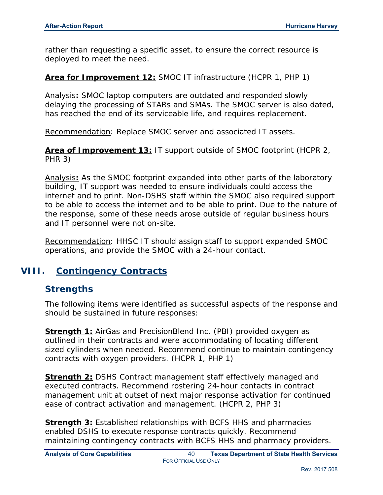rather than requesting a specific asset, to ensure the correct resource is deployed to meet the need.

#### **Area for Improvement 12:** SMOC IT infrastructure (HCPR 1, PHP 1)

Analysis**:** SMOC laptop computers are outdated and responded slowly delaying the processing of STARs and SMAs. The SMOC server is also dated, has reached the end of its serviceable life, and requires replacement.

Recommendation: Replace SMOC server and associated IT assets.

**Area of Improvement 13:** IT support outside of SMOC footprint (HCPR 2, PHR 3)

Analysis**:** As the SMOC footprint expanded into other parts of the laboratory building, IT support was needed to ensure individuals could access the internet and to print. Non-DSHS staff within the SMOC also required support to be able to access the internet and to be able to print. Due to the nature of the response, some of these needs arose outside of regular business hours and IT personnel were not on-site.

Recommendation: HHSC IT should assign staff to support expanded SMOC operations, and provide the SMOC with a 24-hour contact.

#### **VIII. Contingency Contracts**

#### **Strengths**

The following items were identified as successful aspects of the response and should be sustained in future responses:

**Strength 1:** AirGas and PrecisionBlend Inc. (PBI) provided oxygen as outlined in their contracts and were accommodating of locating different sized cylinders when needed. *Recommend continue to maintain contingency contracts with oxygen providers.* (HCPR 1, PHP 1)

**Strength 2: DSHS Contract management staff effectively managed and** executed contracts. *Recommend rostering 24-hour contacts in contract management unit at outset of next major response activation for continued ease of contract activation and management.* (HCPR 2, PHP 3)

**Strength 3:** Established relationships with BCFS HHS and pharmacies enabled DSHS to execute response contracts quickly. *Recommend maintaining contingency contracts with BCFS HHS and pharmacy providers.*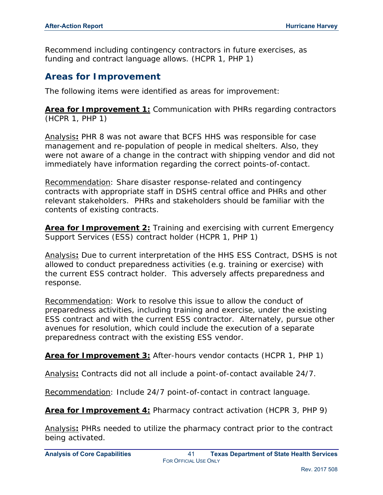*Recommend including contingency contractors in future exercises, as funding and contract language allows.* (HCPR 1, PHP 1)

### **Areas for Improvement**

The following items were identified as areas for improvement:

**Area for Improvement 1:** Communication with PHRs regarding contractors (HCPR 1, PHP 1)

Analysis**:** PHR 8 was not aware that BCFS HHS was responsible for case management and re-population of people in medical shelters. Also, they were not aware of a change in the contract with shipping vendor and did not immediately have information regarding the correct points-of-contact.

Recommendation: Share disaster response-related and contingency contracts with appropriate staff in DSHS central office and PHRs and other relevant stakeholders. PHRs and stakeholders should be familiar with the contents of existing contracts.

**Area for Improvement 2:** Training and exercising with current Emergency Support Services (ESS) contract holder (HCPR 1, PHP 1)

Analysis**:** Due to current interpretation of the HHS ESS Contract, DSHS is not allowed to conduct preparedness activities (e.g. training or exercise) with the current ESS contract holder. This adversely affects preparedness and response.

Recommendation: Work to resolve this issue to allow the conduct of preparedness activities, including training and exercise, under the existing ESS contract and with the current ESS contractor. Alternately, pursue other avenues for resolution, which could include the execution of a separate preparedness contract with the existing ESS vendor.

**Area for Improvement 3:** After-hours vendor contacts (HCPR 1, PHP 1)

Analysis**:** Contracts did not all include a point-of-contact available 24/7.

Recommendation: Include 24/7 point-of-contact in contract language.

**Area for Improvement 4:** Pharmacy contract activation (HCPR 3, PHP 9)

Analysis**:** PHRs needed to utilize the pharmacy contract prior to the contract being activated.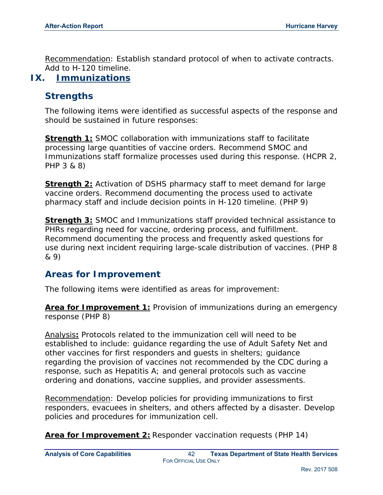Recommendation: Establish standard protocol of when to activate contracts. Add to H-120 timeline.

### **IX. Immunizations**

### **Strengths**

The following items were identified as successful aspects of the response and should be sustained in future responses:

**Strength 1:** SMOC collaboration with immunizations staff to facilitate processing large quantities of vaccine orders. *Recommend SMOC and Immunizations staff formalize processes used during this response.* (HCPR 2, PHP 3 & 8)

**Strength 2:** Activation of DSHS pharmacy staff to meet demand for large vaccine orders. *Recommend documenting the process used to activate pharmacy staff and include decision points in H-120 timeline.* (PHP 9)

**Strength 3:** SMOC and Immunizations staff provided technical assistance to PHRs regarding need for vaccine, ordering process, and fulfillment. *Recommend documenting the process and frequently asked questions for use during next incident requiring large-scale distribution of vaccines.* (PHP 8 & 9)

### **Areas for Improvement**

The following items were identified as areas for improvement:

**Area for Improvement 1:** Provision of immunizations during an emergency response (PHP 8)

Analysis**:** Protocols related to the immunization cell will need to be established to include: guidance regarding the use of Adult Safety Net and other vaccines for first responders and guests in shelters; guidance regarding the provision of vaccines not recommended by the CDC during a response, such as Hepatitis A; and general protocols such as vaccine ordering and donations, vaccine supplies, and provider assessments.

Recommendation: Develop policies for providing immunizations to first responders, evacuees in shelters, and others affected by a disaster. Develop policies and procedures for immunization cell.

**Area for Improvement 2:** Responder vaccination requests (PHP 14)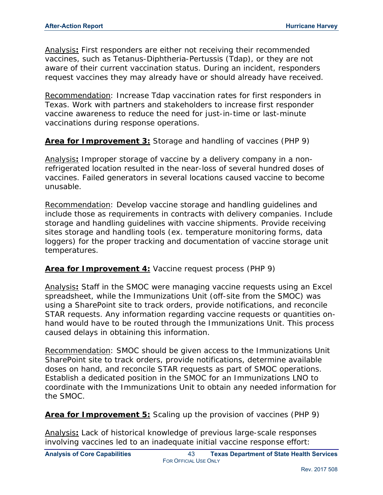Analysis**:** First responders are either not receiving their recommended vaccines, such as Tetanus-Diphtheria-Pertussis (Tdap), or they are not aware of their current vaccination status. During an incident, responders request vaccines they may already have or should already have received.

Recommendation: Increase Tdap vaccination rates for first responders in Texas. Work with partners and stakeholders to increase first responder vaccine awareness to reduce the need for just-in-time or last-minute vaccinations during response operations.

**Area for Improvement 3:** Storage and handling of vaccines (PHP 9)

Analysis**:** Improper storage of vaccine by a delivery company in a nonrefrigerated location resulted in the near-loss of several hundred doses of vaccines. Failed generators in several locations caused vaccine to become unusable.

Recommendation: Develop vaccine storage and handling guidelines and include those as requirements in contracts with delivery companies. Include storage and handling guidelines with vaccine shipments. Provide receiving sites storage and handling tools (ex. temperature monitoring forms, data loggers) for the proper tracking and documentation of vaccine storage unit temperatures.

#### **Area for Improvement 4:** Vaccine request process (PHP 9)

Analysis**:** Staff in the SMOC were managing vaccine requests using an Excel spreadsheet, while the Immunizations Unit (off-site from the SMOC) was using a SharePoint site to track orders, provide notifications, and reconcile STAR requests. Any information regarding vaccine requests or quantities onhand would have to be routed through the Immunizations Unit. This process caused delays in obtaining this information.

Recommendation: SMOC should be given access to the Immunizations Unit SharePoint site to track orders, provide notifications, determine available doses on hand, and reconcile STAR requests as part of SMOC operations. Establish a dedicated position in the SMOC for an Immunizations LNO to coordinate with the Immunizations Unit to obtain any needed information for the SMOC.

**Area for Improvement 5:** Scaling up the provision of vaccines (PHP 9)

Analysis**:** Lack of historical knowledge of previous large-scale responses involving vaccines led to an inadequate initial vaccine response effort: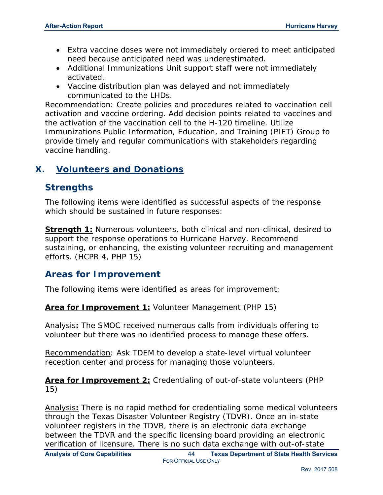- Extra vaccine doses were not immediately ordered to meet anticipated need because anticipated need was underestimated.
- Additional Immunizations Unit support staff were not immediately activated.
- Vaccine distribution plan was delayed and not immediately communicated to the LHDs.

Recommendation: Create policies and procedures related to vaccination cell activation and vaccine ordering. Add decision points related to vaccines and the activation of the vaccination cell to the H-120 timeline. Utilize Immunizations Public Information, Education, and Training (PIET) Group to provide timely and regular communications with stakeholders regarding vaccine handling.

### **X. Volunteers and Donations**

### **Strengths**

The following items were identified as successful aspects of the response which should be sustained in future responses:

**Strength 1:** Numerous volunteers, both clinical and non-clinical, desired to support the response operations to Hurricane Harvey. *Recommend sustaining, or enhancing, the existing volunteer recruiting and management efforts.* (HCPR 4, PHP 15)

### **Areas for Improvement**

The following items were identified as areas for improvement:

**Area for Improvement 1:** Volunteer Management (PHP 15)

Analysis**:** The SMOC received numerous calls from individuals offering to volunteer but there was no identified process to manage these offers.

Recommendation: Ask TDEM to develop a state-level virtual volunteer reception center and process for managing those volunteers.

**Area for Improvement 2:** Credentialing of out-of-state volunteers (PHP 15)

Analysis**:** There is no rapid method for credentialing some medical volunteers through the Texas Disaster Volunteer Registry (TDVR). Once an in-state volunteer registers in the TDVR, there is an electronic data exchange between the TDVR and the specific licensing board providing an electronic verification of licensure. There is no such data exchange with out-of-state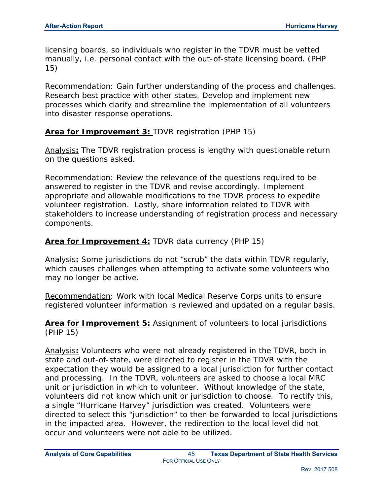licensing boards, so individuals who register in the TDVR must be vetted manually, i.e. personal contact with the out-of-state licensing board. (PHP 15)

Recommendation: Gain further understanding of the process and challenges. Research best practice with other states. Develop and implement new processes which clarify and streamline the implementation of all volunteers into disaster response operations.

#### **Area for Improvement 3:** TDVR registration (PHP 15)

Analysis**:** The TDVR registration process is lengthy with questionable return on the questions asked.

Recommendation: Review the relevance of the questions required to be answered to register in the TDVR and revise accordingly. Implement appropriate and allowable modifications to the TDVR process to expedite volunteer registration. Lastly, share information related to TDVR with stakeholders to increase understanding of registration process and necessary components.

#### **Area for Improvement 4:** TDVR data currency (PHP 15)

Analysis**:** Some jurisdictions do not "scrub" the data within TDVR regularly, which causes challenges when attempting to activate some volunteers who may no longer be active.

Recommendation: Work with local Medical Reserve Corps units to ensure registered volunteer information is reviewed and updated on a regular basis.

**Area for Improvement 5:** Assignment of volunteers to local jurisdictions (PHP 15)

Analysis**:** Volunteers who were not already registered in the TDVR, both in state and out-of-state, were directed to register in the TDVR with the expectation they would be assigned to a local jurisdiction for further contact and processing. In the TDVR, volunteers are asked to choose a local MRC unit or jurisdiction in which to volunteer. Without knowledge of the state, volunteers did not know which unit or jurisdiction to choose. To rectify this, a single "Hurricane Harvey" jurisdiction was created. Volunteers were directed to select this "jurisdiction" to then be forwarded to local jurisdictions in the impacted area. However, the redirection to the local level did not occur and volunteers were not able to be utilized.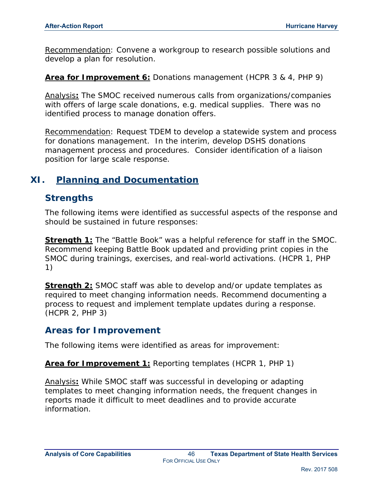Recommendation: Convene a workgroup to research possible solutions and develop a plan for resolution.

#### **Area for Improvement 6:** Donations management (HCPR 3 & 4, PHP 9)

Analysis**:** The SMOC received numerous calls from organizations/companies with offers of large scale donations, e.g. medical supplies. There was no identified process to manage donation offers.

Recommendation: Request TDEM to develop a statewide system and process for donations management. In the interim, develop DSHS donations management process and procedures. Consider identification of a liaison position for large scale response.

### **XI. Planning and Documentation**

### **Strengths**

The following items were identified as successful aspects of the response and should be sustained in future responses:

**Strength 1:** The "Battle Book" was a helpful reference for staff in the SMOC. *Recommend keeping Battle Book updated and providing print copies in the SMOC during trainings, exercises, and real-world activations.* (HCPR 1, PHP 1)

**Strength 2:** SMOC staff was able to develop and/or update templates as required to meet changing information needs. *Recommend documenting a process to request and implement template updates during a response.*  (HCPR 2, PHP 3)

#### **Areas for Improvement**

The following items were identified as areas for improvement:

#### **Area for Improvement 1:** Reporting templates (HCPR 1, PHP 1)

Analysis**:** While SMOC staff was successful in developing or adapting templates to meet changing information needs, the frequent changes in reports made it difficult to meet deadlines and to provide accurate information.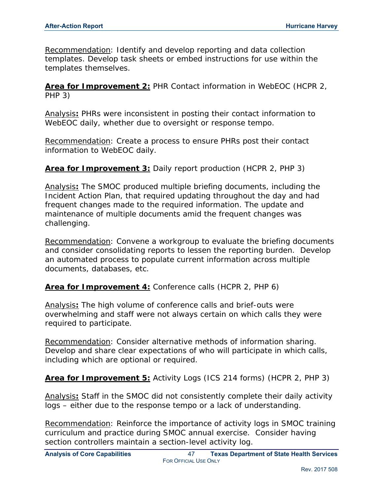Recommendation: Identify and develop reporting and data collection templates. Develop task sheets or embed instructions for use within the templates themselves.

**Area for Improvement 2:** PHR Contact information in WebEOC (HCPR 2, PHP 3)

Analysis**:** PHRs were inconsistent in posting their contact information to WebEOC daily, whether due to oversight or response tempo.

Recommendation: Create a process to ensure PHRs post their contact information to WebEOC daily.

#### **Area for Improvement 3:** Daily report production (HCPR 2, PHP 3)

Analysis**:** The SMOC produced multiple briefing documents, including the Incident Action Plan, that required updating throughout the day and had frequent changes made to the required information. The update and maintenance of multiple documents amid the frequent changes was challenging.

Recommendation: Convene a workgroup to evaluate the briefing documents and consider consolidating reports to lessen the reporting burden. Develop an automated process to populate current information across multiple documents, databases, etc.

#### **Area for Improvement 4:** Conference calls (HCPR 2, PHP 6)

Analysis**:** The high volume of conference calls and brief-outs were overwhelming and staff were not always certain on which calls they were required to participate.

Recommendation: Consider alternative methods of information sharing. Develop and share clear expectations of who will participate in which calls, including which are optional or required.

**Area for Improvement 5:** Activity Logs (ICS 214 forms) (HCPR 2, PHP 3)

Analysis**:** Staff in the SMOC did not consistently complete their daily activity logs – either due to the response tempo or a lack of understanding.

Recommendation: Reinforce the importance of activity logs in SMOC training curriculum and practice during SMOC annual exercise. Consider having section controllers maintain a section-level activity log.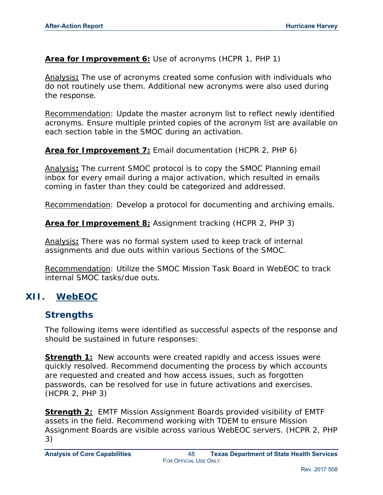**Area for Improvement 6:** Use of acronyms (HCPR 1, PHP 1)

Analysis**:** The use of acronyms created some confusion with individuals who do not routinely use them. Additional new acronyms were also used during the response.

Recommendation: Update the master acronym list to reflect newly identified acronyms. Ensure multiple printed copies of the acronym list are available on each section table in the SMOC during an activation.

**Area for Improvement 7:** Email documentation (HCPR 2, PHP 6)

Analysis**:** The current SMOC protocol is to copy the SMOC Planning email inbox for every email during a major activation, which resulted in emails coming in faster than they could be categorized and addressed.

Recommendation: Develop a protocol for documenting and archiving emails.

**Area for Improvement 8:** Assignment tracking (HCPR 2, PHP 3)

Analysis**:** There was no formal system used to keep track of internal assignments and due outs within various Sections of the SMOC.

Recommendation: Utilize the SMOC Mission Task Board in WebEOC to track internal SMOC tasks/due outs.

### **XII. WebEOC**

### **Strengths**

The following items were identified as successful aspects of the response and should be sustained in future responses:

**Strength 1:** New accounts were created rapidly and access issues were quickly resolved. *Recommend documenting the process by which accounts are requested and created and how access issues, such as forgotten passwords, can be resolved for use in future activations and exercises.* (HCPR 2, PHP 3)

**Strength 2:** EMTF Mission Assignment Boards provided visibility of EMTF assets in the field. *Recommend working with TDEM to ensure Mission Assignment Boards are visible across various WebEOC servers.* (HCPR 2, PHP 3)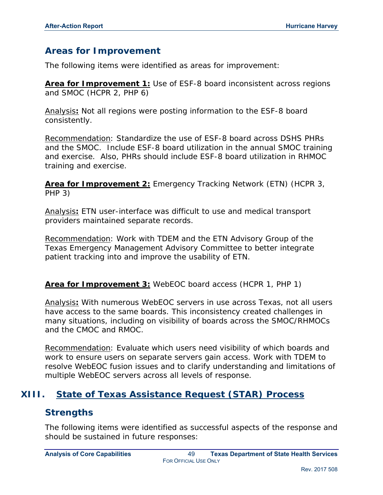### **Areas for Improvement**

The following items were identified as areas for improvement:

**Area for Improvement 1:** Use of ESF-8 board inconsistent across regions and SMOC (HCPR 2, PHP 6)

Analysis**:** Not all regions were posting information to the ESF-8 board consistently.

Recommendation: Standardize the use of ESF-8 board across DSHS PHRs and the SMOC. Include ESF-8 board utilization in the annual SMOC training and exercise. Also, PHRs should include ESF-8 board utilization in RHMOC training and exercise.

**Area for Improvement 2:** Emergency Tracking Network (ETN) (HCPR 3, PHP 3)

Analysis**:** ETN user-interface was difficult to use and medical transport providers maintained separate records.

Recommendation: Work with TDEM and the ETN Advisory Group of the Texas Emergency Management Advisory Committee to better integrate patient tracking into and improve the usability of ETN.

**Area for Improvement 3:** WebEOC board access (HCPR 1, PHP 1)

Analysis**:** With numerous WebEOC servers in use across Texas, not all users have access to the same boards. This inconsistency created challenges in many situations, including on visibility of boards across the SMOC/RHMOCs and the CMOC and RMOC.

Recommendation: Evaluate which users need visibility of which boards and work to ensure users on separate servers gain access. Work with TDEM to resolve WebEOC fusion issues and to clarify understanding and limitations of multiple WebEOC servers across all levels of response.

### **XIII. State of Texas Assistance Request (STAR) Process**

#### **Strengths**

The following items were identified as successful aspects of the response and should be sustained in future responses: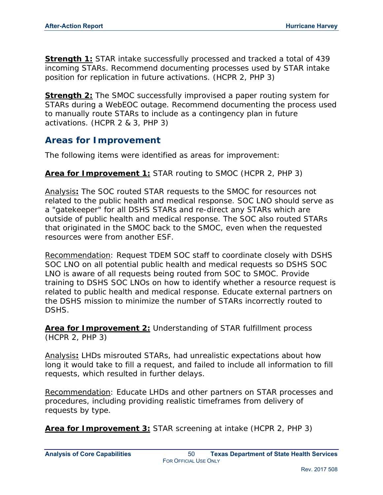**Strength 1:** STAR intake successfully processed and tracked a total of 439 incoming STARs. *Recommend documenting processes used by STAR intake position for replication in future activations.* (HCPR 2, PHP 3)

**Strength 2:** The SMOC successfully improvised a paper routing system for STARs during a WebEOC outage. *Recommend documenting the process used to manually route STARs to include as a contingency plan in future activations.* (HCPR 2 & 3, PHP 3)

### **Areas for Improvement**

The following items were identified as areas for improvement:

**Area for Improvement 1:** STAR routing to SMOC (HCPR 2, PHP 3)

Analysis**:** The SOC routed STAR requests to the SMOC for resources not related to the public health and medical response. SOC LNO should serve as a "gatekeeper" for all DSHS STARs and re-direct any STARs which are outside of public health and medical response. The SOC also routed STARs that originated in the SMOC back to the SMOC, even when the requested resources were from another ESF.

Recommendation: Request TDEM SOC staff to coordinate closely with DSHS SOC LNO on all potential public health and medical requests so DSHS SOC LNO is aware of all requests being routed from SOC to SMOC. Provide training to DSHS SOC LNOs on how to identify whether a resource request is related to public health and medical response. Educate external partners on the DSHS mission to minimize the number of STARs incorrectly routed to DSHS.

**Area for Improvement 2:** Understanding of STAR fulfillment process (HCPR 2, PHP 3)

Analysis**:** LHDs misrouted STARs, had unrealistic expectations about how long it would take to fill a request, and failed to include all information to fill requests, which resulted in further delays.

Recommendation: Educate LHDs and other partners on STAR processes and procedures, including providing realistic timeframes from delivery of requests by type.

**Area for Improvement 3:** STAR screening at intake (HCPR 2, PHP 3)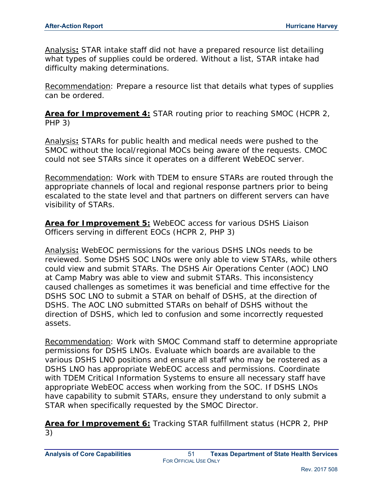Analysis**:** STAR intake staff did not have a prepared resource list detailing what types of supplies could be ordered. Without a list, STAR intake had difficulty making determinations.

Recommendation: Prepare a resource list that details what types of supplies can be ordered.

**Area for Improvement 4:** STAR routing prior to reaching SMOC (HCPR 2, PHP 3)

Analysis**:** STARs for public health and medical needs were pushed to the SMOC without the local/regional MOCs being aware of the requests. CMOC could not see STARs since it operates on a different WebEOC server.

Recommendation: Work with TDEM to ensure STARs are routed through the appropriate channels of local and regional response partners prior to being escalated to the state level and that partners on different servers can have visibility of STARs.

**Area for Improvement 5:** WebEOC access for various DSHS Liaison Officers serving in different EOCs (HCPR 2, PHP 3)

Analysis**:** WebEOC permissions for the various DSHS LNOs needs to be reviewed. Some DSHS SOC LNOs were only able to view STARs, while others could view and submit STARs. The DSHS Air Operations Center (AOC) LNO at Camp Mabry was able to view and submit STARs. This inconsistency caused challenges as sometimes it was beneficial and time effective for the DSHS SOC LNO to submit a STAR on behalf of DSHS, at the direction of DSHS. The AOC LNO submitted STARs on behalf of DSHS without the direction of DSHS, which led to confusion and some incorrectly requested assets.

Recommendation: Work with SMOC Command staff to determine appropriate permissions for DSHS LNOs. Evaluate which boards are available to the various DSHS LNO positions and ensure all staff who may be rostered as a DSHS LNO has appropriate WebEOC access and permissions. Coordinate with TDEM Critical Information Systems to ensure all necessary staff have appropriate WebEOC access when working from the SOC. If DSHS LNOs have capability to submit STARs, ensure they understand to only submit a STAR when specifically requested by the SMOC Director.

**Area for Improvement 6:** Tracking STAR fulfillment status (HCPR 2, PHP 3)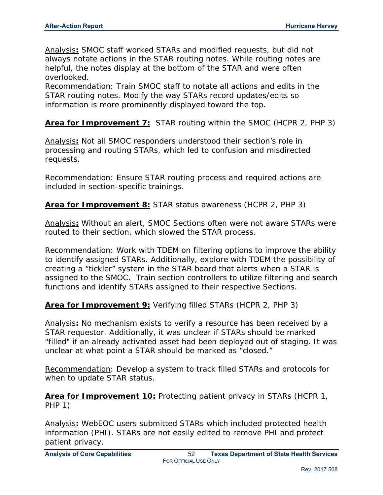Analysis**:** SMOC staff worked STARs and modified requests, but did not always notate actions in the STAR routing notes. While routing notes are helpful, the notes display at the bottom of the STAR and were often overlooked.

Recommendation: Train SMOC staff to notate all actions and edits in the STAR routing notes. Modify the way STARs record updates/edits so information is more prominently displayed toward the top.

#### **Area for Improvement 7:** STAR routing within the SMOC (HCPR 2, PHP 3)

Analysis**:** Not all SMOC responders understood their section's role in processing and routing STARs, which led to confusion and misdirected requests.

Recommendation: Ensure STAR routing process and required actions are included in section-specific trainings.

**Area for Improvement 8:** STAR status awareness (HCPR 2, PHP 3)

Analysis**:** Without an alert, SMOC Sections often were not aware STARs were routed to their section, which slowed the STAR process.

Recommendation: Work with TDEM on filtering options to improve the ability to identify assigned STARs. Additionally, explore with TDEM the possibility of creating a "tickler" system in the STAR board that alerts when a STAR is assigned to the SMOC. Train section controllers to utilize filtering and search functions and identify STARs assigned to their respective Sections.

#### **Area for Improvement 9:** Verifying filled STARs (HCPR 2, PHP 3)

Analysis**:** No mechanism exists to verify a resource has been received by a STAR requestor. Additionally, it was unclear if STARs should be marked "filled" if an already activated asset had been deployed out of staging. It was unclear at what point a STAR should be marked as "closed."

Recommendation: Develop a system to track filled STARs and protocols for when to update STAR status.

**Area for Improvement 10:** Protecting patient privacy in STARs (HCPR 1, PHP 1)

Analysis**:** WebEOC users submitted STARs which included protected health information (PHI). STARs are not easily edited to remove PHI and protect patient privacy.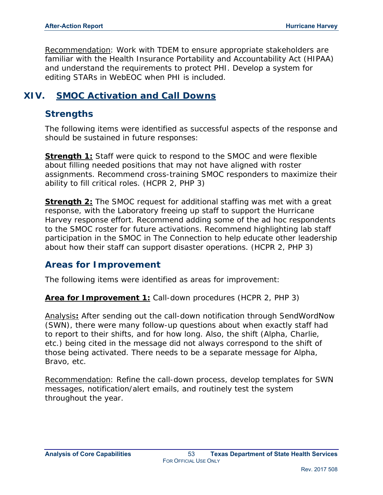Recommendation: Work with TDEM to ensure appropriate stakeholders are familiar with the Health Insurance Portability and Accountability Act (HIPAA) and understand the requirements to protect PHI. Develop a system for editing STARs in WebEOC when PHI is included.

### **XIV. SMOC Activation and Call Downs**

### **Strengths**

The following items were identified as successful aspects of the response and should be sustained in future responses:

**Strength 1:** Staff were quick to respond to the SMOC and were flexible about filling needed positions that may not have aligned with roster assignments. *Recommend cross-training SMOC responders to maximize their ability to fill critical roles.* (HCPR 2, PHP 3)

**Strength 2:** The SMOC request for additional staffing was met with a great response, with the Laboratory freeing up staff to support the Hurricane Harvey response effort. *Recommend adding some of the ad hoc respondents to the SMOC roster for future activations. Recommend highlighting lab staff participation in the SMOC in The Connection to help educate other leadership about how their staff can support disaster operations.* (HCPR 2, PHP 3)

### **Areas for Improvement**

The following items were identified as areas for improvement:

**Area for Improvement 1:** Call-down procedures (HCPR 2, PHP 3)

Analysis**:** After sending out the call-down notification through SendWordNow (SWN), there were many follow-up questions about when exactly staff had to report to their shifts, and for how long. Also, the shift (Alpha, Charlie, etc.) being cited in the message did not always correspond to the shift of those being activated. There needs to be a separate message for Alpha, Bravo, etc.

Recommendation: Refine the call-down process, develop templates for SWN messages, notification/alert emails, and routinely test the system throughout the year.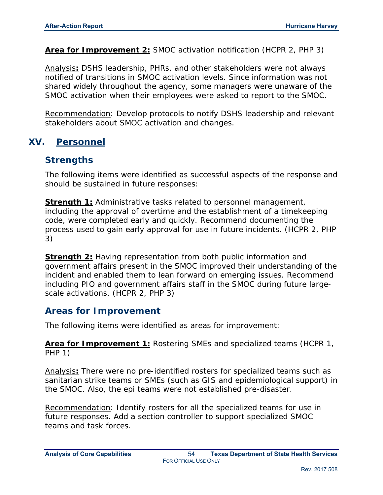**Area for Improvement 2:** SMOC activation notification (HCPR 2, PHP 3)

Analysis**:** DSHS leadership, PHRs, and other stakeholders were not always notified of transitions in SMOC activation levels. Since information was not shared widely throughout the agency, some managers were unaware of the SMOC activation when their employees were asked to report to the SMOC.

Recommendation: Develop protocols to notify DSHS leadership and relevant stakeholders about SMOC activation and changes.

### **XV. Personnel**

### **Strengths**

The following items were identified as successful aspects of the response and should be sustained in future responses:

**Strength 1:** Administrative tasks related to personnel management, including the approval of overtime and the establishment of a timekeeping code, were completed early and quickly. *Recommend documenting the process used to gain early approval for use in future incidents.* (HCPR 2, PHP 3)

**Strength 2:** Having representation from both public information and government affairs present in the SMOC improved their understanding of the incident and enabled them to lean forward on emerging issues. *Recommend including PIO and government affairs staff in the SMOC during future largescale activations.* (HCPR 2, PHP 3)

#### **Areas for Improvement**

The following items were identified as areas for improvement:

**Area for Improvement 1:** Rostering SMEs and specialized teams (HCPR 1, PHP 1)

Analysis**:** There were no pre-identified rosters for specialized teams such as sanitarian strike teams or SMEs (such as GIS and epidemiological support) in the SMOC. Also, the epi teams were not established pre-disaster.

Recommendation: Identify rosters for all the specialized teams for use in future responses. Add a section controller to support specialized SMOC teams and task forces.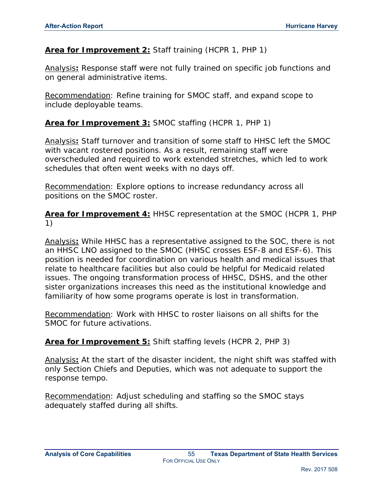#### **Area for Improvement 2:** Staff training (HCPR 1, PHP 1)

Analysis**:** Response staff were not fully trained on specific job functions and on general administrative items.

Recommendation: Refine training for SMOC staff, and expand scope to include deployable teams.

#### **Area for Improvement 3:** SMOC staffing (HCPR 1, PHP 1)

Analysis**:** Staff turnover and transition of some staff to HHSC left the SMOC with vacant rostered positions. As a result, remaining staff were overscheduled and required to work extended stretches, which led to work schedules that often went weeks with no days off.

Recommendation: Explore options to increase redundancy across all positions on the SMOC roster.

**Area for Improvement 4:** HHSC representation at the SMOC (HCPR 1, PHP 1)

Analysis**:** While HHSC has a representative assigned to the SOC, there is not an HHSC LNO assigned to the SMOC (HHSC crosses ESF-8 and ESF-6). This position is needed for coordination on various health and medical issues that relate to healthcare facilities but also could be helpful for Medicaid related issues. The ongoing transformation process of HHSC, DSHS, and the other sister organizations increases this need as the institutional knowledge and familiarity of how some programs operate is lost in transformation.

Recommendation: Work with HHSC to roster liaisons on all shifts for the SMOC for future activations.

#### **Area for Improvement 5:** Shift staffing levels (HCPR 2, PHP 3)

Analysis**:** At the start of the disaster incident, the night shift was staffed with only Section Chiefs and Deputies, which was not adequate to support the response tempo.

Recommendation: Adjust scheduling and staffing so the SMOC stays adequately staffed during all shifts.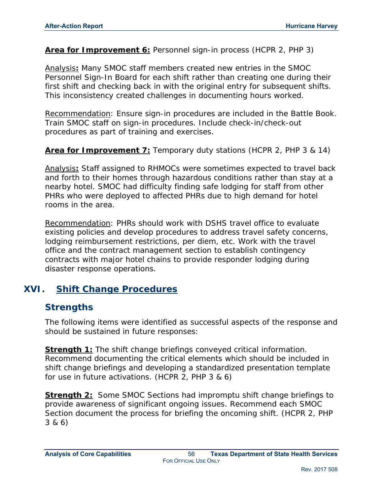**Area for Improvement 6:** Personnel sign-in process (HCPR 2, PHP 3)

Analysis**:** Many SMOC staff members created new entries in the SMOC Personnel Sign-In Board for each shift rather than creating one during their first shift and checking back in with the original entry for subsequent shifts. This inconsistency created challenges in documenting hours worked.

Recommendation: Ensure sign-in procedures are included in the Battle Book. Train SMOC staff on sign-in procedures. Include check-in/check-out procedures as part of training and exercises.

**Area for Improvement 7:** Temporary duty stations (HCPR 2, PHP 3 & 14)

Analysis**:** Staff assigned to RHMOCs were sometimes expected to travel back and forth to their homes through hazardous conditions rather than stay at a nearby hotel. SMOC had difficulty finding safe lodging for staff from other PHRs who were deployed to affected PHRs due to high demand for hotel rooms in the area.

Recommendation: PHRs should work with DSHS travel office to evaluate existing policies and develop procedures to address travel safety concerns, lodging reimbursement restrictions, per diem, etc. Work with the travel office and the contract management section to establish contingency contracts with major hotel chains to provide responder lodging during disaster response operations.

### **XVI. Shift Change Procedures**

### **Strengths**

The following items were identified as successful aspects of the response and should be sustained in future responses:

**Strength 1:** The shift change briefings conveyed critical information. *Recommend documenting the critical elements which should be included in shift change briefings and developing a standardized presentation template for use in future activations.* (HCPR 2, PHP 3 & 6)

**Strength 2:** Some SMOC Sections had impromptu shift change briefings to provide awareness of significant ongoing issues. *Recommend each SMOC Section document the process for briefing the oncoming shift.* (HCPR 2, PHP 3 & 6)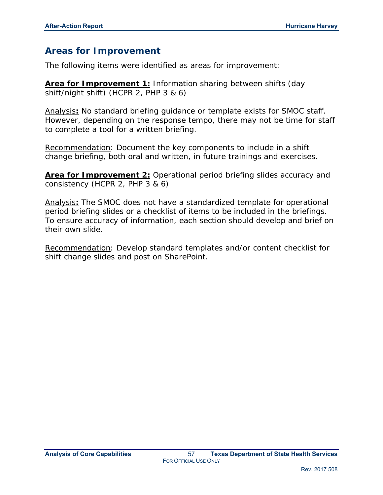### **Areas for Improvement**

The following items were identified as areas for improvement:

**Area for Improvement 1:** Information sharing between shifts (day shift/night shift) (HCPR 2, PHP 3 & 6)

Analysis**:** No standard briefing guidance or template exists for SMOC staff. However, depending on the response tempo, there may not be time for staff to complete a tool for a written briefing.

Recommendation: Document the key components to include in a shift change briefing, both oral and written, in future trainings and exercises.

**Area for Improvement 2:** Operational period briefing slides accuracy and consistency (HCPR 2, PHP  $3 & 6$ )

Analysis**:** The SMOC does not have a standardized template for operational period briefing slides or a checklist of items to be included in the briefings. To ensure accuracy of information, each section should develop and brief on their own slide.

Recommendation: Develop standard templates and/or content checklist for shift change slides and post on SharePoint.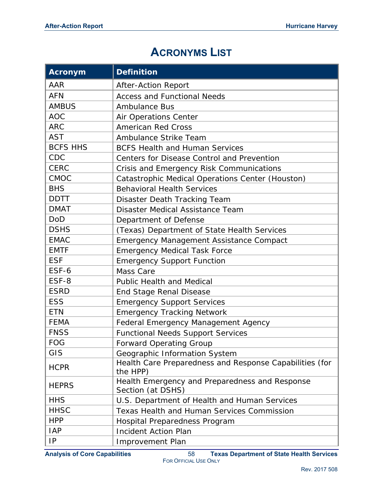## **ACRONYMS LIST**

| <b>Acronym</b>  | <b>Definition</b>                                                   |  |
|-----------------|---------------------------------------------------------------------|--|
| AAR             | <b>After-Action Report</b>                                          |  |
| <b>AFN</b>      | <b>Access and Functional Needs</b>                                  |  |
| <b>AMBUS</b>    | <b>Ambulance Bus</b>                                                |  |
| <b>AOC</b>      | Air Operations Center                                               |  |
| <b>ARC</b>      | <b>American Red Cross</b>                                           |  |
| <b>AST</b>      | Ambulance Strike Team                                               |  |
| <b>BCFS HHS</b> | <b>BCFS Health and Human Services</b>                               |  |
| CDC             | Centers for Disease Control and Prevention                          |  |
| <b>CERC</b>     | Crisis and Emergency Risk Communications                            |  |
| <b>CMOC</b>     | Catastrophic Medical Operations Center (Houston)                    |  |
| <b>BHS</b>      | <b>Behavioral Health Services</b>                                   |  |
| <b>DDTT</b>     | Disaster Death Tracking Team                                        |  |
| <b>DMAT</b>     | Disaster Medical Assistance Team                                    |  |
| <b>DoD</b>      | Department of Defense                                               |  |
| <b>DSHS</b>     | (Texas) Department of State Health Services                         |  |
| <b>EMAC</b>     | <b>Emergency Management Assistance Compact</b>                      |  |
| <b>EMTF</b>     | <b>Emergency Medical Task Force</b>                                 |  |
| <b>ESF</b>      | <b>Emergency Support Function</b>                                   |  |
| ESF-6           | Mass Care                                                           |  |
| ESF-8           | Public Health and Medical                                           |  |
| <b>ESRD</b>     | <b>End Stage Renal Disease</b>                                      |  |
| <b>ESS</b>      | <b>Emergency Support Services</b>                                   |  |
| <b>ETN</b>      | <b>Emergency Tracking Network</b>                                   |  |
| <b>FEMA</b>     | Federal Emergency Management Agency                                 |  |
| <b>FNSS</b>     | <b>Functional Needs Support Services</b>                            |  |
| <b>FOG</b>      | <b>Forward Operating Group</b>                                      |  |
| GIS             | Geographic Information System                                       |  |
| <b>HCPR</b>     | Health Care Preparedness and Response Capabilities (for<br>the HPP) |  |
| <b>HEPRS</b>    | Health Emergency and Preparedness and Response<br>Section (at DSHS) |  |
| <b>HHS</b>      | U.S. Department of Health and Human Services                        |  |
| <b>HHSC</b>     | <b>Texas Health and Human Services Commission</b>                   |  |
| <b>HPP</b>      | Hospital Preparedness Program                                       |  |
| <b>IAP</b>      | <b>Incident Action Plan</b>                                         |  |
| IP              | Improvement Plan                                                    |  |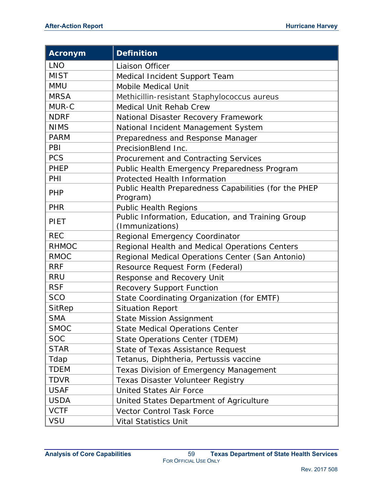| <b>Acronym</b> | <b>Definition</b>                                                    |  |
|----------------|----------------------------------------------------------------------|--|
| <b>LNO</b>     | Liaison Officer                                                      |  |
| <b>MIST</b>    | Medical Incident Support Team                                        |  |
| <b>MMU</b>     | <b>Mobile Medical Unit</b>                                           |  |
| <b>MRSA</b>    | Methicillin-resistant Staphylococcus aureus                          |  |
| MUR-C          | <b>Medical Unit Rehab Crew</b>                                       |  |
| <b>NDRF</b>    | National Disaster Recovery Framework                                 |  |
| <b>NIMS</b>    | National Incident Management System                                  |  |
| <b>PARM</b>    | Preparedness and Response Manager                                    |  |
| PBI            | PrecisionBlend Inc.                                                  |  |
| <b>PCS</b>     | Procurement and Contracting Services                                 |  |
| <b>PHEP</b>    | Public Health Emergency Preparedness Program                         |  |
| PHI            | <b>Protected Health Information</b>                                  |  |
| <b>PHP</b>     | Public Health Preparedness Capabilities (for the PHEP<br>Program)    |  |
| <b>PHR</b>     | <b>Public Health Regions</b>                                         |  |
| PIET           | Public Information, Education, and Training Group<br>(Immunizations) |  |
| <b>REC</b>     | Regional Emergency Coordinator                                       |  |
| <b>RHMOC</b>   | Regional Health and Medical Operations Centers                       |  |
| <b>RMOC</b>    | Regional Medical Operations Center (San Antonio)                     |  |
| <b>RRF</b>     | Resource Request Form (Federal)                                      |  |
| <b>RRU</b>     | Response and Recovery Unit                                           |  |
| <b>RSF</b>     | <b>Recovery Support Function</b>                                     |  |
| <b>SCO</b>     | State Coordinating Organization (for EMTF)                           |  |
| <b>SitRep</b>  | <b>Situation Report</b>                                              |  |
| <b>SMA</b>     | <b>State Mission Assignment</b>                                      |  |
| <b>SMOC</b>    | <b>State Medical Operations Center</b>                               |  |
| <b>SOC</b>     | State Operations Center (TDEM)                                       |  |
| <b>STAR</b>    | <b>State of Texas Assistance Request</b>                             |  |
| Tdap           | Tetanus, Diphtheria, Pertussis vaccine                               |  |
| <b>TDEM</b>    | <b>Texas Division of Emergency Management</b>                        |  |
| <b>TDVR</b>    | Texas Disaster Volunteer Registry                                    |  |
| <b>USAF</b>    | <b>United States Air Force</b>                                       |  |
| <b>USDA</b>    | United States Department of Agriculture                              |  |
| <b>VCTF</b>    | <b>Vector Control Task Force</b>                                     |  |
| <b>VSU</b>     | <b>Vital Statistics Unit</b>                                         |  |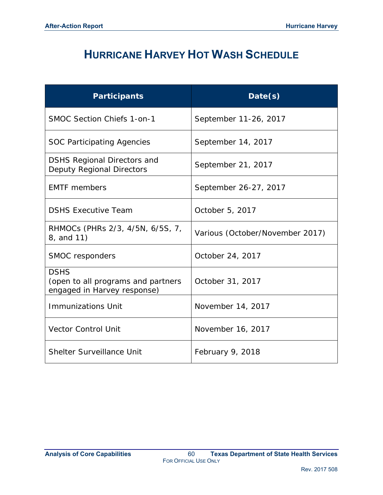## **HURRICANE HARVEY HOT WASH SCHEDULE**

| <b>Participants</b>                                                              | Date(s)                         |
|----------------------------------------------------------------------------------|---------------------------------|
| <b>SMOC Section Chiefs 1-on-1</b>                                                | September 11-26, 2017           |
| <b>SOC Participating Agencies</b>                                                | September 14, 2017              |
| <b>DSHS Regional Directors and</b><br>Deputy Regional Directors                  | September 21, 2017              |
| <b>EMTF</b> members                                                              | September 26-27, 2017           |
| <b>DSHS Executive Team</b>                                                       | October 5, 2017                 |
| RHMOCs (PHRs 2/3, 4/5N, 6/5S, 7,<br>8, and 11)                                   | Various (October/November 2017) |
| SMOC responders                                                                  | October 24, 2017                |
| <b>DSHS</b><br>(open to all programs and partners<br>engaged in Harvey response) | October 31, 2017                |
| <b>Immunizations Unit</b>                                                        | November 14, 2017               |
| <b>Vector Control Unit</b>                                                       | November 16, 2017               |
| <b>Shelter Surveillance Unit</b>                                                 | February 9, 2018                |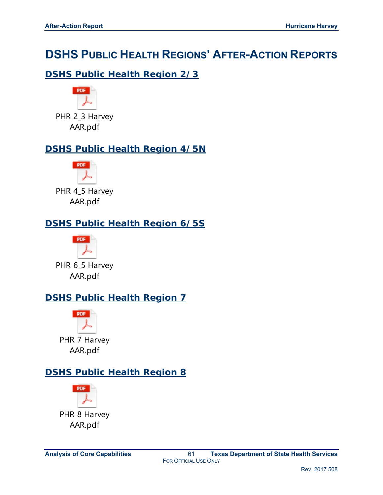## **DSHS PUBLIC HEALTH REGIONS' AFTER-ACTION REPORTS**

### **DSHS Public Health Region 2/3**



PHR 2\_3 Harvey AAR.pdf

### **DSHS Public Health Region 4/5N**



PHR 4\_5 Harvey AAR.pdf

### **DSHS Public Health Region 6/5S**



AAR.pdf

### **DSHS Public Health Region 7**



PHR 7 Harvey AAR.pdf

### **DSHS Public Health Region 8**